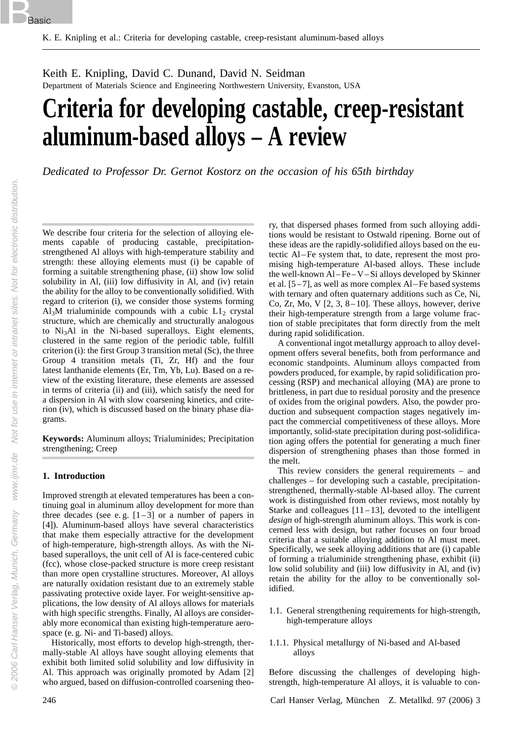Keith E. Knipling, David C. Dunand, David N. Seidman Department of Materials Science and Engineering Northwestern University, Evanston, USA

# **Criteria for developing castable, creep-resistant aluminum-based alloys – A review**

*Dedicated to Professor Dr. Gernot Kostorz on the occasion of his 65th birthday*

We describe four criteria for the selection of alloying elements capable of producing castable, precipitationstrengthened Al alloys with high-temperature stability and strength: these alloying elements must (i) be capable of forming a suitable strengthening phase, (ii) show low solid solubility in Al, (iii) low diffusivity in Al, and (iv) retain the ability for the alloy to be conventionally solidified. With regard to criterion (i), we consider those systems forming Al<sub>3</sub>M trialuminide compounds with a cubic  $L1<sub>2</sub>$  crystal structure, which are chemically and structurally analogous to Ni<sub>3</sub>Al in the Ni-based superalloys. Eight elements, clustered in the same region of the periodic table, fulfill criterion (i): the first Group 3 transition metal (Sc), the three Group 4 transition metals (Ti, Zr, Hf) and the four latest lanthanide elements (Er, Tm, Yb, Lu). Based on a review of the existing literature, these elements are assessed in terms of criteria (ii) and (iii), which satisfy the need for a dispersion in Al with slow coarsening kinetics, and criterion (iv), which is discussed based on the binary phase diagrams.

**Keywords:** Aluminum alloys; Trialuminides; Precipitation strengthening; Creep

# **1. Introduction**

Improved strength at elevated temperatures has been a continuing goal in aluminum alloy development for more than three decades (see e.g.  $[1-3]$  or a number of papers in [4]). Aluminum-based alloys have several characteristics that make them especially attractive for the development of high-temperature, high-strength alloys. As with the Nibased superalloys, the unit cell of Al is face-centered cubic (fcc), whose close-packed structure is more creep resistant than more open crystalline structures. Moreover, Al alloys are naturally oxidation resistant due to an extremely stable passivating protective oxide layer. For weight-sensitive applications, the low density of Al alloys allows for materials with high specific strengths. Finally, Al alloys are considerably more economical than existing high-temperature aerospace (e. g. Ni- and Ti-based) alloys.

Historically, most efforts to develop high-strength, thermally-stable Al alloys have sought alloying elements that exhibit both limited solid solubility and low diffusivity in Al. This approach was originally promoted by Adam [2] who argued, based on diffusion-controlled coarsening theory, that dispersed phases formed from such alloying additions would be resistant to Ostwald ripening. Borne out of these ideas are the rapidly-solidified alloys based on the eutectic Al – Fe system that, to date, represent the most promising high-temperature Al-based alloys. These include the well-known  $\overrightarrow{Al} - \overrightarrow{Fe} - \overrightarrow{V} - \overrightarrow{Si}$  alloys developed by Skinner et al.  $[5-7]$ , as well as more complex Al-Fe based systems with ternary and often quaternary additions such as Ce, Ni, Co, Zr, Mo, V  $[2, 3, 8-10]$ . These alloys, however, derive their high-temperature strength from a large volume fraction of stable precipitates that form directly from the melt during rapid solidification.

A conventional ingot metallurgy approach to alloy development offers several benefits, both from performance and economic standpoints. Aluminum alloys compacted from powders produced, for example, by rapid solidification processing (RSP) and mechanical alloying (MA) are prone to brittleness, in part due to residual porosity and the presence of oxides from the original powders. Also, the powder production and subsequent compaction stages negatively impact the commercial competitiveness of these alloys. More importantly, solid-state precipitation during post-solidification aging offers the potential for generating a much finer dispersion of strengthening phases than those formed in the melt.

This review considers the general requirements – and challenges – for developing such a castable, precipitationstrengthened, thermally-stable Al-based alloy. The current work is distinguished from other reviews, most notably by Starke and colleagues  $[11-13]$ , devoted to the intelligent *design* of high-strength aluminum alloys. This work is concerned less with design, but rather focuses on four broad criteria that a suitable alloying addition to Al must meet. Specifically, we seek alloying additions that are (i) capable of forming a trialuminide strengthening phase, exhibit (ii) low solid solubility and (iii) low diffusivity in Al, and (iv) retain the ability for the alloy to be conventionally solidified.

- 1.1. General strengthening requirements for high-strength, high-temperature alloys
- 1.1.1. Physical metallurgy of Ni-based and Al-based alloys

Before discussing the challenges of developing highstrength, high-temperature Al alloys, it is valuable to con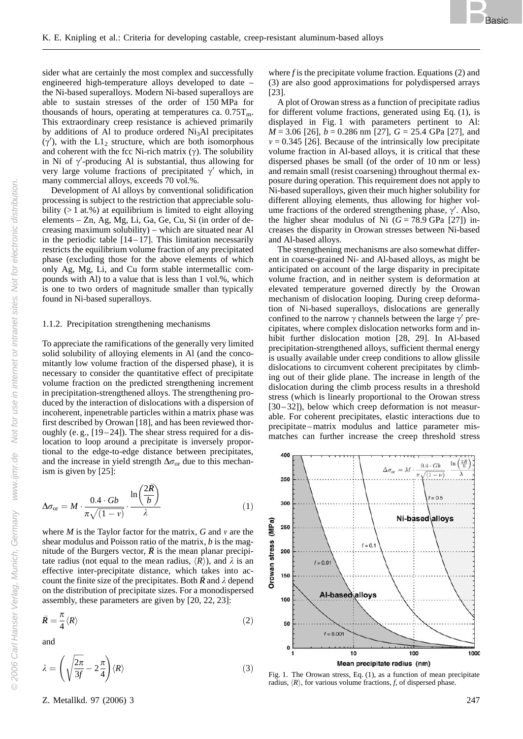sider what are certainly the most complex and successfully engineered high-temperature alloys developed to date – the Ni-based superalloys. Modern Ni-based superalloys are able to sustain stresses of the order of 150 MPa for thousands of hours, operating at temperatures ca.  $0.75T_m$ . This extraordinary creep resistance is achieved primarily by additions of Al to produce ordered  $Ni<sub>3</sub>Al$  precipitates  $(\gamma')$ , with the L1<sub>2</sub> structure, which are both isomorphous and coherent with the fcc Ni-rich matrix  $(\gamma)$ . The solubility in Ni of  $\gamma'$ -producing Al is substantial, thus allowing for very large volume fractions of precipitated  $\gamma'$  which, in many commercial alloys, exceeds 70 vol.%.

Development of Al alloys by conventional solidification processing is subject to the restriction that appreciable solubility  $(1 at. %)$  at equilibrium is limited to eight alloying elements – Zn, Ag, Mg, Li, Ga, Ge, Cu, Si (in order of decreasing maximum solubility) – which are situated near Al in the periodic table  $[14-17]$ . This limitation necessarily restricts the equilibrium volume fraction of any precipitated phase (excluding those for the above elements of which only Ag, Mg, Li, and Cu form stable intermetallic compounds with Al) to a value that is less than 1 vol.%, which is one to two orders of magnitude smaller than typically found in Ni-based superalloys.

#### 1.1.2. Precipitation strengthening mechanisms

To appreciate the ramifications of the generally very limited solid solubility of alloying elements in Al (and the concomitantly low volume fraction of the dispersed phase), it is necessary to consider the quantitative effect of precipitate volume fraction on the predicted strengthening increment in precipitation-strengthened alloys. The strengthening produced by the interaction of dislocations with a dispersion of incoherent, inpenetrable particles within a matrix phase was first described by Orowan [18], and has been reviewed thoroughly (e.g.,  $[19-24]$ ). The shear stress required for a dislocation to loop around a precipitate is inversely proportional to the edge-to-edge distance between precipitates, and the increase in yield strength  $\Delta\sigma_{\rm or}$  due to this mechanism is given by [25]:

$$
\Delta \sigma_{\text{or}} = M \cdot \frac{0.4 \cdot Gb}{\pi \sqrt{(1 - v)}} \cdot \frac{\ln\left(\frac{2\bar{R}}{b}\right)}{\lambda} \tag{1}
$$

where  $M$  is the Taylor factor for the matrix,  $G$  and  $\nu$  are the shear modulus and Poisson ratio of the matrix, *b* is the magnitude of the Burgers vector,  $\overline{R}$  is the mean planar precipitate radius (not equal to the mean radius,  $\langle R \rangle$ ), and  $\lambda$  is an effective inter-precipitate distance, which takes into account the finite size of the precipitates. Both  $\bar{R}$  and  $\lambda$  depend on the distribution of precipitate sizes. For a monodispersed assembly, these parameters are given by [20, 22, 23]:

$$
\bar{R} = \frac{\pi}{4} \langle R \rangle \tag{2}
$$

and

 $\lambda$ 

© 2006 Carl Hanser Verlag, Munich, Germany

$$
L = \left(\sqrt{\frac{2\pi}{3f}} - 2\frac{\pi}{4}\right) \langle R \rangle \tag{3}
$$

where *f* is the precipitate volume fraction. Equations (2) and (3) are also good approximations for polydispersed arrays [23].

Basic

A plot of Orowan stress as a function of precipitate radius for different volume fractions, generated using Eq. (1), is displayed in Fig. 1 with parameters pertinent to Al: *M* = 3.06 [26], *b* = 0.286 nm [27], *G* = 25.4 GPa [27], and  $v = 0.345$  [26]. Because of the intrinsically low precipitate volume fraction in Al-based alloys, it is critical that these dispersed phases be small (of the order of 10 nm or less) and remain small (resist coarsening) throughout thermal exposure during operation. This requirement does not apply to Ni-based superalloys, given their much higher solubility for different alloying elements, thus allowing for higher volume fractions of the ordered strengthening phase,  $\gamma'$ . Also, the higher shear modulus of Ni  $(G = 78.9 \text{ GPa}$  [27]) increases the disparity in Orowan stresses between Ni-based and Al-based alloys.

The strengthening mechanisms are also somewhat different in coarse-grained Ni- and Al-based alloys, as might be anticipated on account of the large disparity in precipitate volume fraction, and in neither system is deformation at elevated temperature governed directly by the Orowan mechanism of dislocation looping. During creep deformation of Ni-based superalloys, dislocations are generally confined to the narrow  $\gamma$  channels between the large  $\gamma'$  precipitates, where complex dislocation networks form and inhibit further dislocation motion [28, 29]. In Al-based precipitation-strengthened alloys, sufficient thermal energy is usually available under creep conditions to allow glissile dislocations to circumvent coherent precipitates by climbing out of their glide plane. The increase in length of the dislocation during the climb process results in a threshold stress (which is linearly proportional to the Orowan stress [30 – 32]), below which creep deformation is not measurable. For coherent precipitates, elastic interactions due to precipitate – matrix modulus and lattice parameter mismatches can further increase the creep threshold stress



Fig. 1. The Orowan stress, Eq. (1), as a function of mean precipitate radius,  $\langle R \rangle$ , for various volume fractions, *f*, of dispersed phase.

Z. Metallkd. 97 (2006) 3 247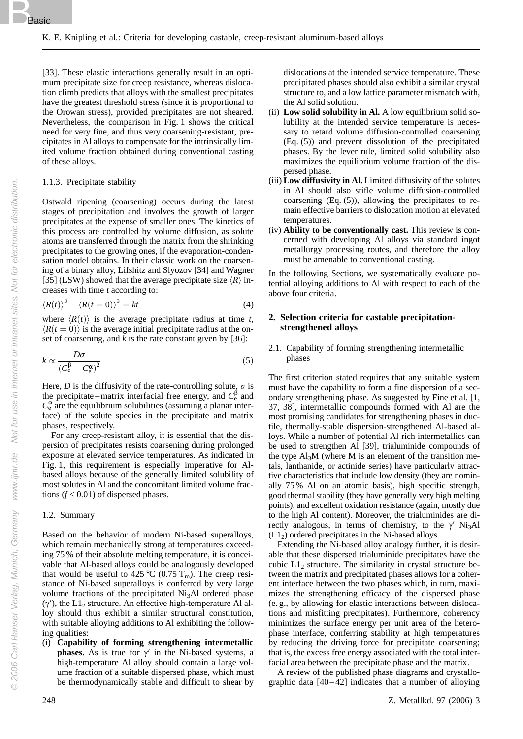[33]. These elastic interactions generally result in an optimum precipitate size for creep resistance, whereas dislocation climb predicts that alloys with the smallest precipitates have the greatest threshold stress (since it is proportional to the Orowan stress), provided precipitates are not sheared. Nevertheless, the comparison in Fig. 1 shows the critical need for very fine, and thus very coarsening-resistant, precipitates in Al alloys to compensate for the intrinsically limited volume fraction obtained during conventional casting of these alloys.

#### 1.1.3. Precipitate stability

**Basic** 

Ostwald ripening (coarsening) occurs during the latest stages of precipitation and involves the growth of larger precipitates at the expense of smaller ones. The kinetics of this process are controlled by volume diffusion, as solute atoms are transferred through the matrix from the shrinking precipitates to the growing ones, if the evaporation-condensation model obtains. In their classic work on the coarsening of a binary alloy, Lifshitz and Slyozov [34] and Wagner [35] (LSW) showed that the average precipitate size  $\langle R \rangle$  increases with time *t* according to:

$$
\langle R(t) \rangle^3 - \langle R(t=0) \rangle^3 = kt \tag{4}
$$

where  $\langle R(t) \rangle$  is the average precipitate radius at time *t*,  $\langle R(t=0) \rangle$  is the average initial precipitate radius at the onset of coarsening, and  $k$  is the rate constant given by [36]:

$$
k \propto \frac{D\sigma}{\left(C_{\rm e}^{\beta} - C_{\rm e}^{\alpha}\right)^2} \tag{5}
$$

Here, *D* is the diffusivity of the rate-controlling solute,  $\sigma$  is the precipitate–matrix interfacial free energy, and  $C_e^{\beta}$  and  $C_e^{\alpha}$  are the equilibrium solubilities (assuming a planar interface) of the solute species in the precipitate and matrix phases, respectively.

For any creep-resistant alloy, it is essential that the dispersion of precipitates resists coarsening during prolonged exposure at elevated service temperatures. As indicated in Fig. 1, this requirement is especially imperative for Albased alloys because of the generally limited solubility of most solutes in Al and the concomitant limited volume fractions  $(f < 0.01)$  of dispersed phases.

# 1.2. Summary

Based on the behavior of modern Ni-based superalloys, which remain mechanically strong at temperatures exceeding 75 % of their absolute melting temperature, it is conceivable that Al-based alloys could be analogously developed that would be useful to  $425^{\circ}$ C (0.75 T<sub>m</sub>). The creep resistance of Ni-based superalloys is conferred by very large volume fractions of the precipitated  $Ni<sub>3</sub>Al$  ordered phase  $(\gamma')$ , the L1<sub>2</sub> structure. An effective high-temperature Al alloy should thus exhibit a similar structural constitution, with suitable alloying additions to Al exhibiting the following qualities:

(i) **Capability of forming strengthening intermetallic phases.** As is true for  $\gamma'$  in the Ni-based systems, a high-temperature Al alloy should contain a large volume fraction of a suitable dispersed phase, which must be thermodynamically stable and difficult to shear by dislocations at the intended service temperature. These precipitated phases should also exhibit a similar crystal structure to, and a low lattice parameter mismatch with, the Al solid solution.

- (ii) **Low solid solubility in Al.** A low equilibrium solid solubility at the intended service temperature is necessary to retard volume diffusion-controlled coarsening (Eq. (5)) and prevent dissolution of the precipitated phases. By the lever rule, limited solid solubility also maximizes the equilibrium volume fraction of the dispersed phase.
- (iii) **Low diffusivity in Al.** Limited diffusivity of the solutes in Al should also stifle volume diffusion-controlled coarsening (Eq. (5)), allowing the precipitates to remain effective barriers to dislocation motion at elevated temperatures.
- (iv) **Ability to be conventionally cast.** This review is concerned with developing Al alloys via standard ingot metallurgy processing routes, and therefore the alloy must be amenable to conventional casting.

In the following Sections, we systematically evaluate potential alloying additions to Al with respect to each of the above four criteria.

## **2. Selection criteria for castable precipitationstrengthened alloys**

2.1. Capability of forming strengthening intermetallic phases

The first criterion stated requires that any suitable system must have the capability to form a fine dispersion of a secondary strengthening phase. As suggested by Fine et al. [1, 37, 38], intermetallic compounds formed with Al are the most promising candidates for strengthening phases in ductile, thermally-stable dispersion-strengthened Al-based alloys. While a number of potential Al-rich intermetallics can be used to strengthen Al [39], trialuminide compounds of the type  $Al<sub>3</sub>M$  (where M is an element of the transition metals, lanthanide, or actinide series) have particularly attractive characteristics that include low density (they are nominally 75 % Al on an atomic basis), high specific strength, good thermal stability (they have generally very high melting points), and excellent oxidation resistance (again, mostly due to the high Al content). Moreover, the trialuminides are directly analogous, in terms of chemistry, to the  $\gamma'$  Ni<sub>3</sub>Al  $(L1<sub>2</sub>)$  ordered precipitates in the Ni-based alloys.

Extending the Ni-based alloy analogy further, it is desirable that these dispersed trialuminide precipitates have the cubic  $L_1$ <sub>2</sub> structure. The similarity in crystal structure between the matrix and precipitated phases allows for a coherent interface between the two phases which, in turn, maximizes the strengthening efficacy of the dispersed phase (e. g., by allowing for elastic interactions between dislocations and misfitting precipitates). Furthermore, coherency minimizes the surface energy per unit area of the heterophase interface, conferring stability at high temperatures by reducing the driving force for precipitate coarsening; that is, the excess free energy associated with the total interfacial area between the precipitate phase and the matrix.

A review of the published phase diagrams and crystallographic data  $[40-42]$  indicates that a number of alloying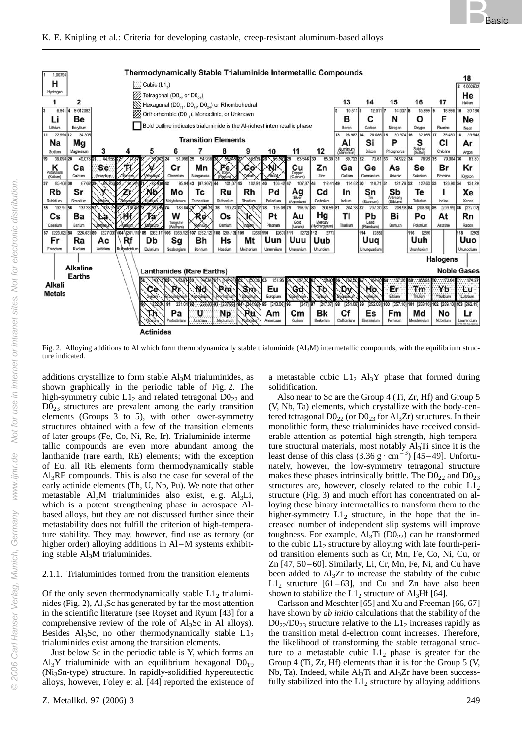

Fig. 2. Alloying additions to Al which form thermodynamically stable trialuminide  $(A<sub>1</sub>M)$  intermetallic compounds, with the equilibrium structure indicated.

additions crystallize to form stable  $Al<sub>3</sub>M$  trialuminides, as shown graphically in the periodic table of Fig. 2. The high-symmetry cubic  $L1_2$  and related tetragonal  $D0_{22}$  and  $D0_{23}$  structures are prevalent among the early transition elements (Groups 3 to 5), with other lower-symmetry structures obtained with a few of the transition elements of later groups (Fe, Co, Ni, Re, Ir). Trialuminide intermetallic compounds are even more abundant among the lanthanide (rare earth, RE) elements; with the exception of Eu, all RE elements form thermodynamically stable Al3RE compounds. This is also the case for several of the early actinide elements (Th, U, Np, Pu). We note that other metastable Al3M trialuminides also exist, e. g. Al3Li, which is a potent strengthening phase in aerospace Albased alloys, but they are not discussed further since their metastability does not fulfill the criterion of high-temperature stability. They may, however, find use as ternary (or higher order) alloying additions in Al-M systems exhibiting stable  $Al<sub>3</sub>M$  trialuminides.

# 2.1.1. Trialuminides formed from the transition elements

Of the only seven thermodynamically stable  $L1<sub>2</sub>$  trialuminides (Fig. 2),  $\text{Al}_3\text{Sc}$  has generated by far the most attention in the scientific literature (see Royset and Ryum [43] for a comprehensive review of the role of Al3Sc in Al alloys). Besides Al<sub>3</sub>Sc, no other thermodynamically stable  $L1<sub>2</sub>$ trialuminides exist among the transition elements.

Just below Sc in the periodic table is Y, which forms an  $Al_3Y$  trialuminide with an equilibrium hexagonal  $DO_{19}$ (Ni3Sn-type) structure. In rapidly-solidified hypereutectic alloys, however, Foley et al. [44] reported the existence of a metastable cubic  $L1_2$  Al<sub>3</sub>Y phase that formed during solidification.

Also near to Sc are the Group 4 (Ti, Zr, Hf) and Group 5 (V, Nb, Ta) elements, which crystallize with the body-centered tetragonal  $D0_{22}$  (or  $D0_{23}$  for Al<sub>3</sub>Zr) structures. In their monolithic form, these trialuminides have received considerable attention as potential high-strength, high-temperature structural materials, most notably  $\text{Al}_3\text{Ti}$  since it is the least dense of this class  $(3.36 \text{ g} \cdot \text{cm}^{-3})$  [45–49]. Unfortunately, however, the low-symmetry tetragonal structure makes these phases intrinsically brittle. The  $D0_{22}$  and  $D0_{23}$ structures are, however, closely related to the cubic  $L_1$ , structure (Fig. 3) and much effort has concentrated on alloying these binary intermetallics to transform them to the higher-symmetry  $L1<sub>2</sub>$  structure, in the hope that the increased number of independent slip systems will improve toughness. For example,  $Al<sub>3</sub>Ti$  (D0<sub>22</sub>) can be transformed to the cubic  $L_1$ <sub>2</sub> structure by alloying with late fourth-period transition elements such as Cr, Mn, Fe, Co, Ni, Cu, or Zn  $[47, 50 - 60]$ . Similarly, Li, Cr, Mn, Fe, Ni, and Cu have been added to  $\text{Al}_3\text{Zr}$  to increase the stability of the cubic  $L1<sub>2</sub>$  structure [61–63], and Cu and Zn have also been shown to stabilize the  $L1_2$  structure of Al<sub>3</sub>Hf [64].

Carlsson and Meschter [65] and Xu and Freeman [66, 67] have shown by *ab initio* calculations that the stability of the  $D0_{22}/D0_{23}$  structure relative to the L1<sub>2</sub> increases rapidly as the transition metal d-electron count increases. Therefore, the likelihood of transforming the stable tetragonal structure to a metastable cubic  $L1<sub>2</sub>$  phase is greater for the Group 4 (Ti, Zr, Hf) elements than it is for the Group 5 (V, Nb, Ta). Indeed, while  $Al<sub>3</sub>Ti$  and  $Al<sub>3</sub>Zr$  have been successfully stabilized into the  $L1_2$  structure by alloying additions

Basic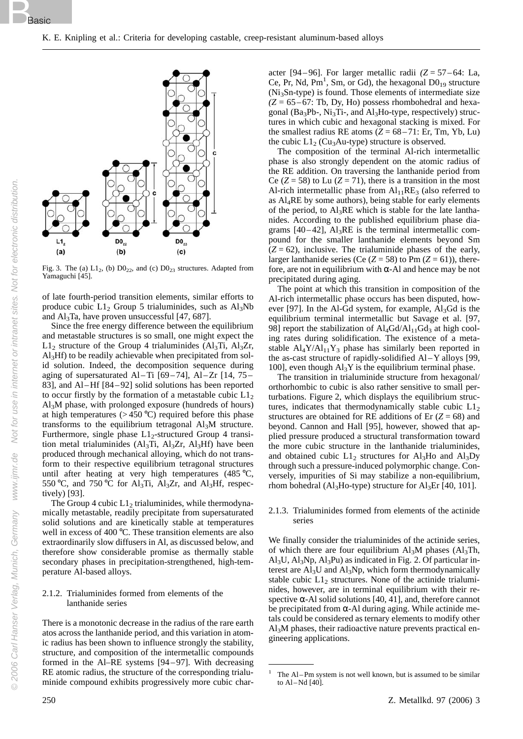

Fig. 3. The (a)  $L1_2$ , (b)  $D0_{22}$ , and (c)  $D0_{23}$  structures. Adapted from Yamaguchi [45].

of late fourth-period transition elements, similar efforts to produce cubic  $L1_2$  Group 5 trialuminides, such as Al<sub>3</sub>Nb and  $Al<sub>3</sub>Ta$ , have proven unsuccessful [47, 687].

Since the free energy difference between the equilibrium and metastable structures is so small, one might expect the  $L1_2$  structure of the Group 4 trialuminides (Al<sub>3</sub>Ti, Al<sub>3</sub>Zr, Al3Hf) to be readily achievable when precipitated from solid solution. Indeed, the decomposition sequence during aging of supersaturated Al–Ti  $[69-74]$ , Al–Zr  $[14, 75-$ 83], and Al-Hf [84-92] solid solutions has been reported to occur firstly by the formation of a metastable cubic  $L1_2$ Al3M phase, with prolonged exposure (hundreds of hours) at high temperatures  $(>450 °C)$  required before this phase transforms to the equilibrium tetragonal Al3M structure. Furthermore, single phase  $L1_2$ -structured Group 4 transition metal trialuminides ( $Al<sub>3</sub>Ti$ ,  $Al<sub>3</sub>Zr$ ,  $Al<sub>3</sub>Hf$ ) have been produced through mechanical alloying, which do not transform to their respective equilibrium tetragonal structures until after heating at very high temperatures (485 °C, 550 °C, and 750 °C for Al<sub>3</sub>Ti, Al<sub>3</sub>Zr, and Al<sub>3</sub>Hf, respectively) [93].

The Group 4 cubic  $L1_2$  trialuminides, while thermodynamically metastable, readily precipitate from supersaturated solid solutions and are kinetically stable at temperatures well in excess of 400 °C. These transition elements are also extraordinarily slow diffusers in Al, as discussed below, and therefore show considerable promise as thermally stable secondary phases in precipitation-strengthened, high-temperature Al-based alloys.

## 2.1.2. Trialuminides formed from elements of the lanthanide series

There is a monotonic decrease in the radius of the rare earth atos across the lanthanide period, and this variation in atomic radius has been shown to influence strongly the stability, structure, and composition of the intermetallic compounds formed in the Al–RE systems [94 – 97]. With decreasing RE atomic radius, the structure of the corresponding trialuminide compound exhibits progressively more cubic character [94-96]. For larger metallic radii  $(Z = 57 - 64$ : La, Ce, Pr, Nd, Pm<sup>1</sup>, Sm, or Gd), the hexagonal  $D0_{19}$  structure  $(Ni<sub>3</sub>Sn-type)$  is found. Those elements of intermediate size  $(Z = 65 - 67$ : Tb, Dy, Ho) possess rhombohedral and hexagonal (Ba<sub>3</sub>Pb-, Ni<sub>3</sub>Ti-, and Al<sub>3</sub>Ho-type, respectively) structures in which cubic and hexagonal stacking is mixed. For the smallest radius RE atoms  $(Z = 68 - 71$ : Er, Tm, Yb, Lu) the cubic  $L1_2$  (Cu<sub>3</sub>Au-type) structure is observed.

The composition of the terminal Al-rich intermetallic phase is also strongly dependent on the atomic radius of the RE addition. On traversing the lanthanide period from Ce  $(Z = 58)$  to Lu  $(Z = 71)$ , there is a transition in the most Al-rich intermetallic phase from  $Al_{11}RE_3$  (also referred to as  $Al_4RE$  by some authors), being stable for early elements of the period, to  $Al_3RE$  which is stable for the late lanthanides. According to the published equilibrium phase diagrams  $[40-42]$ , Al<sub>3</sub>RE is the terminal intermetallic compound for the smaller lanthanide elements beyond Sm  $(Z = 62)$ , inclusive. The trialuminide phases of the early, larger lanthanide series (Ce  $(Z = 58)$  to Pm  $(Z = 61)$ ), therefore, are not in equilibrium with  $\alpha$ -Al and hence may be not precipitated during aging.

The point at which this transition in composition of the Al-rich intermetallic phase occurs has been disputed, however [97]. In the Al-Gd system, for example,  $Al_3Gd$  is the equilibrium terminal intermetallic but Savage et al. [97, 98] report the stabilization of  $\text{Al}_4\text{Gd}/\text{Al}_{11}\text{Gd}_3$  at high cooling rates during solidification. The existence of a metastable  $\text{Al}_4\text{Y}/\text{Al}_{11}\text{Y}_3$  phase has similarly been reported in the as-cast structure of rapidly-solidified Al – Y alloys [99, 100], even though  $Al<sub>3</sub>Y$  is the equilibrium terminal phase.

The transition in trialuminide structure from hexagonal/ orthorhombic to cubic is also rather sensitive to small perturbations. Figure 2, which displays the equilibrium structures, indicates that thermodynamically stable cubic  $L1_2$ structures are obtained for RE additions of Er  $(Z = 68)$  and beyond. Cannon and Hall [95], however, showed that applied pressure produced a structural transformation toward the more cubic structure in the lanthanide trialuminides, and obtained cubic  $L1_2$  structures for Al<sub>3</sub>Ho and Al<sub>3</sub>Dy through such a pressure-induced polymorphic change. Conversely, impurities of Si may stabilize a non-equilibrium, rhom bohedral (Al<sub>3</sub>Ho-type) structure for Al<sub>3</sub>Er [40, 101].

### 2.1.3. Trialuminides formed from elements of the actinide series

We finally consider the trialuminides of the actinide series, of which there are four equilibrium  $Al<sub>3</sub>M$  phases ( $Al<sub>3</sub>Th$ ,  $\text{Al}_3\text{U}$ ,  $\text{Al}_3\text{Np}$ ,  $\text{Al}_3\text{P}$ u) as indicated in Fig. 2. Of particular interest are  $\text{Al}_3\text{U}$  and  $\text{Al}_3\text{Np}$ , which form thermodynamically stable cubic  $L1_2$  structures. None of the actinide trialuminides, however, are in terminal equilibrium with their respective  $\alpha$ -Al solid solutions [40, 41], and, therefore cannot be precipitated from α-Al during aging. While actinide metals could be considered as ternary elements to modify other Al3M phases, their radioactive nature prevents practical engineering applications.

<sup>&</sup>lt;sup>1</sup> The Al–Pm system is not well known, but is assumed to be similar to Al–Nd [40].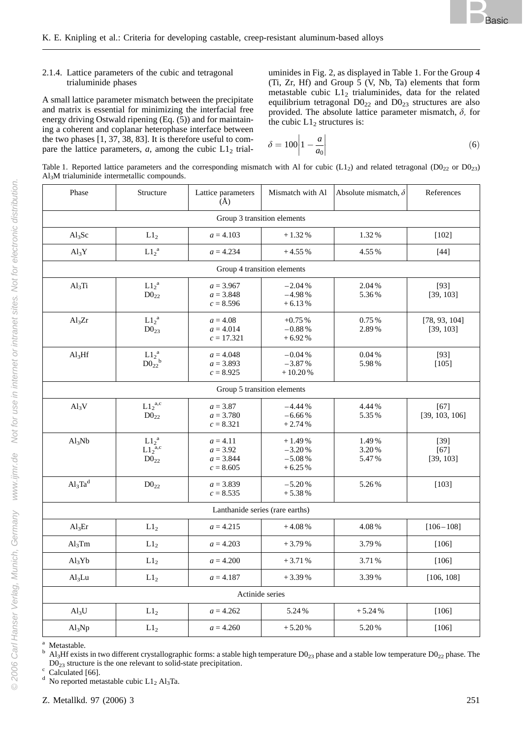# 2.1.4. Lattice parameters of the cubic and tetragonal trialuminide phases

A small lattice parameter mismatch between the precipitate and matrix is essential for minimizing the interfacial free energy driving Ostwald ripening (Eq. (5)) and for maintaining a coherent and coplanar heterophase interface between the two phases [1, 37, 38, 83]. It is therefore useful to compare the lattice parameters,  $a$ , among the cubic  $L1<sub>2</sub>$  trialuminides in Fig. 2, as displayed in Table 1. For the Group 4 (Ti, Zr, Hf) and Group 5 (V, Nb, Ta) elements that form metastable cubic  $L1<sub>2</sub>$  trialuminides, data for the related equilibrium tetragonal  $D0_{22}$  and  $D0_{23}$  structures are also provided. The absolute lattice parameter mismatch,  $\delta$ , for the cubic  $L1<sub>2</sub>$  structures is:

$$
\delta = 100 \left| 1 - \frac{a}{a_0} \right| \tag{6}
$$

Table 1. Reported lattice parameters and the corresponding mismatch with Al for cubic  $(L1_2)$  and related tetragonal  $(D0_{22}$  or  $D0_{23})$ Al3M trialuminide intermetallic compounds.

| Phase                           | Structure                                 | Lattice parameters<br>(A)                              | Mismatch with Al                             | Absolute mismatch, $\delta$ | References                  |  |  |  |
|---------------------------------|-------------------------------------------|--------------------------------------------------------|----------------------------------------------|-----------------------------|-----------------------------|--|--|--|
| Group 3 transition elements     |                                           |                                                        |                                              |                             |                             |  |  |  |
| Al <sub>3</sub> Sc              | L1 <sub>2</sub>                           | $a = 4.103$                                            | $+1.32%$                                     | 1.32%                       | $[102]$                     |  |  |  |
| $\text{Al}_3\text{Y}$           | $L1_2^{\text{a}}$                         | $a = 4.234$                                            | $+4.55%$                                     | 4.55%                       | $[44]$                      |  |  |  |
| Group 4 transition elements     |                                           |                                                        |                                              |                             |                             |  |  |  |
| Al <sub>3</sub> Ti              | $L1_2^{\text{a}}$<br>$D0_{22}$            | $a = 3.967$<br>$a = 3.848$<br>$c = 8.596$              | $-2.04%$<br>$-4.98%$<br>$+6.13%$             | 2.04%<br>5.36%              | $[93]$<br>[39, 103]         |  |  |  |
| Al <sub>3</sub> Zr              | $L1_2^{\mathrm{a}}$<br>$D0_{23}$          | $a = 4.08$<br>$a = 4.014$<br>$c = 17.321$              | $+0.75%$<br>$-0.88%$<br>$+6.92%$             | 0.75%<br>2.89%              | [78, 93, 104]<br>[39, 103]  |  |  |  |
| Al <sub>3</sub> Hf              | $\operatorname{L1_2}^a_{22}$              | $a = 4.048$<br>$a = 3.893$<br>$c = 8.925$              | $-0.04%$<br>$-3.87%$<br>$+10.20%$            | 0.04%<br>5.98%              | $[93]$<br>[105]             |  |  |  |
|                                 |                                           | Group 5 transition elements                            |                                              |                             |                             |  |  |  |
| $\text{Al}_3\text{V}$           | $L1_2^{a,c}$<br>$D0_{22}$                 | $a = 3.87$<br>$a = 3.780$<br>$c = 8.321$               | $-4.44%$<br>$-6.66%$<br>$+2.74%$             | 4.44%<br>5.35%              | [67]<br>[39, 103, 106]      |  |  |  |
| Al <sub>3</sub> Nb              | $L1_2^{\ a}$<br>$L1_2^{a,c}$<br>$D0_{22}$ | $a = 4.11$<br>$a = 3.92$<br>$a = 3.844$<br>$c = 8.605$ | $+1.49%$<br>$-3.20%$<br>$-5.08%$<br>$+6.25%$ | 1.49%<br>3.20%<br>5.47%     | $[39]$<br>[67]<br>[39, 103] |  |  |  |
| $Al_3Ta^d$                      | $D0_{22}$                                 | $a = 3.839$<br>$c = 8.535$                             | $-5.20%$<br>$+5.38%$                         | 5.26%                       | [103]                       |  |  |  |
| Lanthanide series (rare earths) |                                           |                                                        |                                              |                             |                             |  |  |  |
| $Al_3Er$                        | L1 <sub>2</sub>                           | $a = 4.215$                                            | $+4.08%$                                     | 4.08%                       | $[106 - 108]$               |  |  |  |
| Al <sub>3</sub> Tm              | L1 <sub>2</sub>                           | $a = 4.203$                                            | $+3.79%$                                     | 3.79%                       | [106]                       |  |  |  |
| Al <sub>3</sub> Yb              | L1 <sub>2</sub>                           | $a = 4.200$                                            | $+3.71%$                                     | 3.71%                       | $[106]$                     |  |  |  |
| $\text{Al}_3\text{Lu}$          | L1 <sub>2</sub>                           | $a = 4.187$                                            | $+3.39%$                                     | 3.39%                       | [106, 108]                  |  |  |  |
| Actinide series                 |                                           |                                                        |                                              |                             |                             |  |  |  |
| $\text{Al}_3\text{U}$           | L1 <sub>2</sub>                           | $a = 4.262$                                            | 5.24 %                                       | $+5.24%$                    | $[106]$                     |  |  |  |
| Al <sub>3</sub> Np              | L1 <sub>2</sub>                           | $a = 4.260$                                            | $+5.20%$                                     | 5.20%                       | $[106]$                     |  |  |  |

<sup>a</sup> Metastable.<br><sup>b</sup> Al<sub>3</sub>Hf exists in two different crystallographic forms: a stable high temperature D0<sub>23</sub> phase and a stable low temperature D0<sub>22</sub> phase. The  $D0_{23}$  structure is the one relevant to solid-state precipitation.<br><sup>c</sup> Calculated [66].<br><sup>d</sup> No reported metastable cubic L1<sub>2</sub> Al<sub>3</sub>Ta.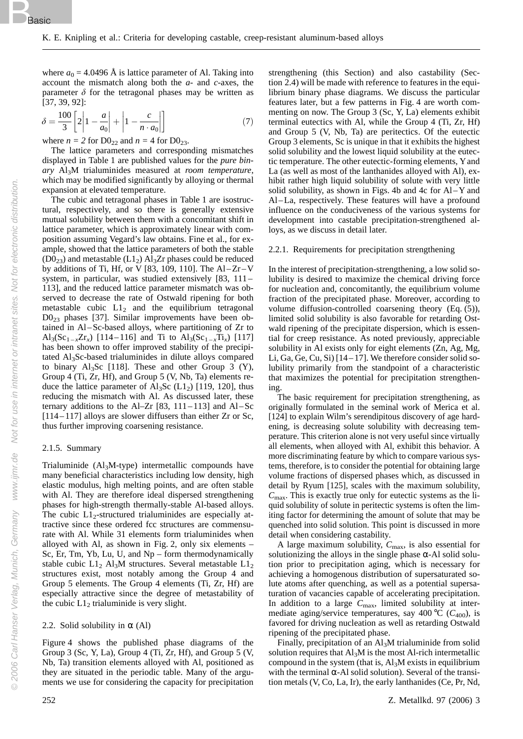where  $a_0 = 4.0496$  Å is lattice parameter of Al. Taking into account the mismatch along both the *a-* and *c*-axes, the parameter  $\delta$  for the tetragonal phases may be written as [37, 39, 92]:

$$
\delta = \frac{100}{3} \left[ 2 \left| 1 - \frac{a}{a_0} \right| + \left| 1 - \frac{c}{n \cdot a_0} \right| \right] \tag{7}
$$

where  $n = 2$  for  $D0_{22}$  and  $n = 4$  for  $D0_{23}$ .

**Basic** 

The lattice parameters and corresponding mismatches displayed in Table 1 are published values for the *pure binary* Al3M trialuminides measured at *room temperature*, which may be modified significantly by alloying or thermal expansion at elevated temperature.

The cubic and tetragonal phases in Table 1 are isostructural, respectively, and so there is generally extensive mutual solubility between them with a concomitant shift in lattice parameter, which is approximately linear with composition assuming Vegard's law obtains. Fine et al., for example, showed that the lattice parameters of both the stable  $(D0_{23})$  and metastable  $(L1_2)$  Al<sub>3</sub>Zr phases could be reduced by additions of Ti, Hf, or V [83, 109, 110]. The Al-Zr-V system, in particular, was studied extensively [83, 111 – 113], and the reduced lattice parameter mismatch was observed to decrease the rate of Ostwald ripening for both metastable cubic  $L1_2$  and the equilibrium tetragonal  $D0_{23}$  phases [37]. Similar improvements have been obtained in Al-Sc-based alloys, where partitioning of Zr to Al<sub>3</sub>(Sc<sub>1 – *x*</sub>Zr<sub>*x*</sub>) [114 – 116] and Ti to Al<sub>3</sub>(Sc<sub>1 – *x*</sub>Ti<sub>*x*</sub>) [117] has been shown to offer improved stability of the precipitated Al3Sc-based trialuminides in dilute alloys compared to binary  $Al_3Sc$  [118]. These and other Group 3 (Y), Group 4 (Ti, Zr, Hf), and Group 5 (V, Nb, Ta) elements reduce the lattice parameter of  $Al<sub>3</sub>Sc (L1<sub>2</sub>)$  [119, 120], thus reducing the mismatch with Al. As discussed later, these ternary additions to the Al–Zr  $[83, 111-113]$  and Al–Sc [114 – 117] alloys are slower diffusers than either Zr or Sc, thus further improving coarsening resistance.

#### 2.1.5. Summary

Trialuminide  $(Al<sub>3</sub>M-type)$  intermetallic compounds have many beneficial characteristics including low density, high elastic modulus, high melting points, and are often stable with Al. They are therefore ideal dispersed strengthening phases for high-strength thermally-stable Al-based alloys. The cubic  $L1<sub>2</sub>$ -structured trialuminides are especially attractive since these ordered fcc structures are commensurate with Al. While 31 elements form trialuminides when alloyed with Al, as shown in Fig. 2, only six elements – Sc, Er, Tm, Yb, Lu, U, and Np – form thermodynamically stable cubic  $L_1$ <sup>2</sup> Al<sub>3</sub>M structures. Several metastable  $L_1$ <sup>2</sup> structures exist, most notably among the Group 4 and Group 5 elements. The Group 4 elements (Ti, Zr, Hf) are especially attractive since the degree of metastability of the cubic  $L1_2$  trialuminide is very slight.

#### 2.2. Solid solubility in  $\alpha$  (Al)

Figure 4 shows the published phase diagrams of the Group 3 (Sc, Y, La), Group 4 (Ti, Zr, Hf), and Group 5 (V, Nb, Ta) transition elements alloyed with Al, positioned as they are situated in the periodic table. Many of the arguments we use for considering the capacity for precipitation strengthening (this Section) and also castability (Section 2.4) will be made with reference to features in the equilibrium binary phase diagrams. We discuss the particular features later, but a few patterns in Fig. 4 are worth commenting on now. The Group 3 (Sc, Y, La) elements exhibit terminal eutectics with Al, while the Group 4 (Ti, Zr, Hf) and Group 5 (V, Nb, Ta) are peritectics. Of the eutectic Group 3 elements, Sc is unique in that it exhibits the highest solid solubility and the lowest liquid solubility at the eutectic temperature. The other eutectic-forming elements, Yand La (as well as most of the lanthanides alloyed with Al), exhibit rather high liquid solubility of solute with very little solid solubility, as shown in Figs. 4b and 4c for Al – Y and Al-La, respectively. These features will have a profound influence on the conduciveness of the various systems for development into castable precipitation-strengthened alloys, as we discuss in detail later.

## 2.2.1. Requirements for precipitation strengthening

In the interest of precipitation-strengthening, a low solid solubility is desired to maximize the chemical driving force for nucleation and, concomitantly, the equilibrium volume fraction of the precipitated phase. Moreover, according to volume diffusion-controlled coarsening theory (Eq. (5)), limited solid solubility is also favorable for retarding Ostwald ripening of the precipitate dispersion, which is essential for creep resistance. As noted previously, appreciable solubility in Al exists only for eight elements (Zn, Ag, Mg, Li, Ga, Ge, Cu, Si) [14 – 17]. We therefore consider solid solubility primarily from the standpoint of a characteristic that maximizes the potential for precipitation strengthening.

The basic requirement for precipitation strengthening, as originally formulated in the seminal work of Merica et al. [124] to explain Wilm's serendipitous discovery of age hardening, is decreasing solute solubility with decreasing temperature. This criterion alone is not very useful since virtually all elements, when alloyed with Al, exhibit this behavior. A more discriminating feature by which to compare various systems, therefore, is to consider the potential for obtaining large volume fractions of dispersed phases which, as discussed in detail by Ryum [125], scales with the maximum solubility, *C*max. This is exactly true only for eutectic systems as the liquid solubility of solute in peritectic systems is often the limiting factor for determining the amount of solute that may be quenched into solid solution. This point is discussed in more detail when considering castability.

A large maximum solubility, *C*max, is also essential for solutionizing the alloys in the single phase  $\alpha$ -Al solid solution prior to precipitation aging, which is necessary for achieving a homogenous distribution of supersaturated solute atoms after quenching, as well as a potential supersaturation of vacancies capable of accelerating precipitation. In addition to a large C<sub>max</sub>, limited solubility at intermediate aging/service temperatures, say  $400^{\circ}$ C ( $C_{400}$ ), is favored for driving nucleation as well as retarding Ostwald ripening of the precipitated phase.

Finally, precipitation of an Al3M trialuminide from solid solution requires that  $Al<sub>3</sub>M$  is the most Al-rich intermetallic compound in the system (that is,  $Al<sub>3</sub>M$  exists in equilibrium with the terminal  $\alpha$ -Al solid solution). Several of the transition metals (V, Co, La, Ir), the early lanthanides (Ce, Pr, Nd,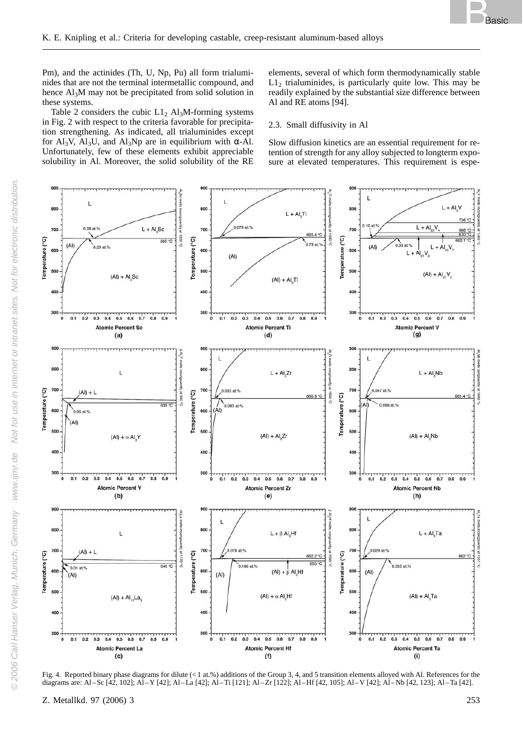Pm), and the actinides (Th, U, Np, Pu) all form trialuminides that are not the terminal intermetallic compound, and hence Al<sub>3</sub>M may not be precipitated from solid solution in these systems.

Table 2 considers the cubic  $L1_2$  Al<sub>3</sub>M-forming systems in Fig. 2 with respect to the criteria favorable for precipitation strengthening. As indicated, all trialuminides except for Al<sub>3</sub>V, Al<sub>3</sub>U, and Al<sub>3</sub>Np are in equilibrium with  $\alpha$ -Al. Unfortunately, few of these elements exhibit appreciable solubility in Al. Moreover, the solid solubility of the RE elements, several of which form thermodynamically stable  $L1<sub>2</sub>$  trialuminides, is particularly quite low. This may be readily explained by the substantial size difference between Al and RE atoms [94].

## 2.3. Small diffusivity in Al

Slow diffusion kinetics are an essential requirement for retention of strength for any alloy subjected to longterm exposure at elevated temperatures. This requirement is espe-



Fig. 4. Reported binary phase diagrams for dilute (< 1 at.%) additions of the Group 3, 4, and 5 transition elements alloyed with Al. References for the diagrams are: Al –Sc [42, 102]; Al –Y [42]; Al –La [42]; Al –Ti [121]; Al –Zr [122]; Al –Hf [42, 105]; Al –V [42]; Al –Nb [42, 123]; Al –Ta [42].

© 2006 Carl Hanser Verlag, Munich, Germany www.ijmr.de Not for use in internet or intranet sites. Not for electronic distribution.Not for use in internet or intranet sites. Not for electronic distribution. www.ijmr.de © 2006 Carl Hanser Verlag, Munich, Germany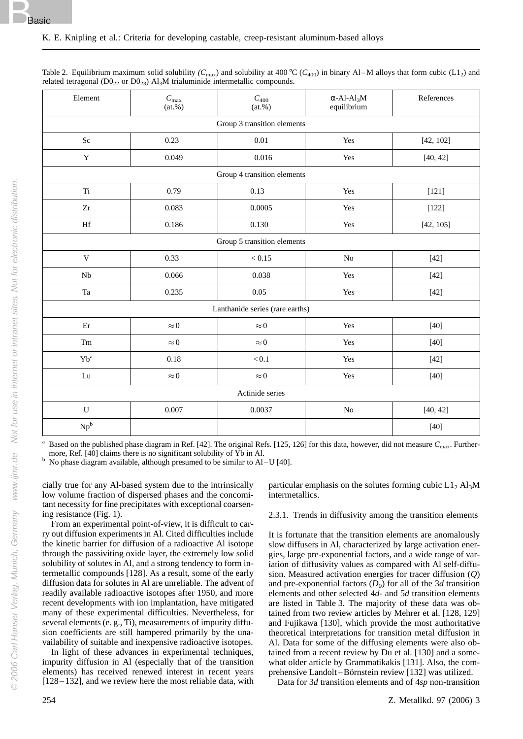**Basic** 

| $C_{\rm max}$<br>Element<br>$(at.\%)$   |              | $C_{400}$<br>$\alpha$ -Al-Al <sub>3</sub> M<br>$(at.\%)$<br>equilibrium |          | References |  |  |  |
|-----------------------------------------|--------------|-------------------------------------------------------------------------|----------|------------|--|--|--|
| Group 3 transition elements             |              |                                                                         |          |            |  |  |  |
| $\rm Sc$                                | 0.23         | 0.01                                                                    | Yes      | [42, 102]  |  |  |  |
| $\mathbf Y$                             | 0.049        | 0.016                                                                   | Yes      | [40, 42]   |  |  |  |
| Group 4 transition elements             |              |                                                                         |          |            |  |  |  |
| Ti                                      | 0.79         | 0.13                                                                    | Yes      | $[121]$    |  |  |  |
| Zr                                      | 0.083        | 0.0005                                                                  | Yes      | $[122]$    |  |  |  |
| $\rm Hf$                                | 0.186        | 0.130                                                                   | Yes      | [42, 105]  |  |  |  |
| Group 5 transition elements             |              |                                                                         |          |            |  |  |  |
| $\mathbf V$                             | 0.33         | < 0.15                                                                  | No       | $[42]$     |  |  |  |
| Nb                                      | 0.066        | 0.038                                                                   | Yes      | $[42]$     |  |  |  |
| Ta                                      | 0.235        | 0.05                                                                    | Yes      | $[42]$     |  |  |  |
| Lanthanide series (rare earths)         |              |                                                                         |          |            |  |  |  |
| $\mathop{\rm Er}\nolimits$              | $\approx 0$  | $\approx\!0$                                                            | Yes      | $[40]$     |  |  |  |
| Tm                                      | $\approx\!0$ | $\approx 0$                                                             | Yes      | $[40]$     |  |  |  |
| $Yb^a$                                  | 0.18         | $<\!0.1$                                                                | Yes      | $[42]$     |  |  |  |
| Lu                                      | $\approx 0$  | $\approx\!0$                                                            | Yes      | $[40]$     |  |  |  |
| Actinide series                         |              |                                                                         |          |            |  |  |  |
| $\mathbf U$                             | 0.007        | 0.0037                                                                  | $\rm No$ | [40, 42]   |  |  |  |
| $\ensuremath{\mathbf{Np}}^{\mathrm{b}}$ |              |                                                                         |          | $[40]$     |  |  |  |

Table 2. Equilibrium maximum solid solubility  $(C_{\text{max}})$  and solubility at 400 °C  $(C_{400})$  in binary Al–M alloys that form cubic (L1<sub>2</sub>) and related tetragonal ( $D0_{22}$  or  $D0_{23}$ ) Al<sub>3</sub>M trialuminide intermetallic compounds.

Based on the published phase diagram in Ref. [42]. The original Refs. [125, 126] for this data, however, did not measure  $C_{\text{max}}$ . Further-<br>more, Ref. [40] claims there is no significant solubility of Yb in Al.

 $h$  No phase diagram available, although presumed to be similar to Al – U [40].

cially true for any Al-based system due to the intrinsically low volume fraction of dispersed phases and the concomitant necessity for fine precipitates with exceptional coarsening resistance (Fig. 1).

From an experimental point-of-view, it is difficult to carry out diffusion experiments in Al. Cited difficulties include the kinetic barrier for diffusion of a radioactive Al isotope through the passiviting oxide layer, the extremely low solid solubility of solutes in Al, and a strong tendency to form intermetallic compounds [128]. As a result, some of the early diffusion data for solutes in Al are unreliable. The advent of readily available radioactive isotopes after 1950, and more recent developments with ion implantation, have mitigated many of these experimental difficulties. Nevertheless, for several elements (e. g., Ti), measurements of impurity diffusion coefficients are still hampered primarily by the unavailability of suitable and inexpensive radioactive isotopes.

In light of these advances in experimental techniques, impurity diffusion in Al (especially that of the transition elements) has received renewed interest in recent years [128 – 132], and we review here the most reliable data, with

particular emphasis on the solutes forming cubic  $L1<sub>2</sub> Al<sub>3</sub>M$ intermetallics.

2.3.1. Trends in diffusivity among the transition elements

It is fortunate that the transition elements are anomalously slow diffusers in Al, characterized by large activation energies, large pre-exponential factors, and a wide range of variation of diffusivity values as compared with Al self-diffusion. Measured activation energies for tracer diffusion (*Q*) and pre-exponential factors  $(D_0)$  for all of the 3*d* transition elements and other selected 4*d*- and 5*d* transition elements are listed in Table 3. The majority of these data was obtained from two review articles by Mehrer et al. [128, 129] and Fujikawa [130], which provide the most authoritative theoretical interpretations for transition metal diffusion in Al. Data for some of the diffusing elements were also obtained from a recent review by Du et al. [130] and a somewhat older article by Grammatikakis [131]. Also, the comprehensive Landolt – Börnstein review [132] was utilized.

Data for 3*d* transition elements and of 4*sp* non-transition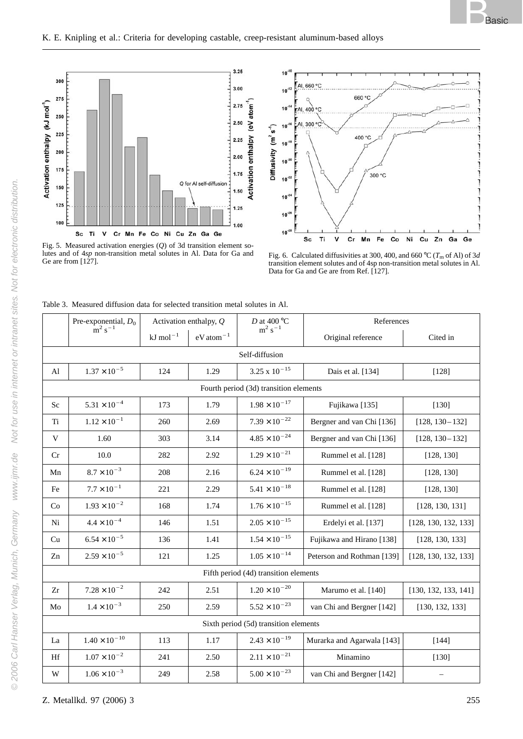



Fig. 5. Measured activation energies (*Q*) of 3d transition element solutes and of 4*sp* non-transition metal solutes in Al. Data for Ga and

Fig. 6. Calculated diffusivities at 300, 400, and 660 °C ( $T<sub>m</sub>$  of Al) of 3*d* transition element solutes and of 4sp non-transition metal solutes in Al. Data for Ga and Ge are from Ref. [127].

|                                       | Pre-exponential, $D_0$<br>$\rm \tilde{m}^2\,\rm s^{-1}$ | Activation enthalpy, $Q$            |                                      | $D$ at 400 $^{\circ}\mathrm{C}$<br>$m^2 s^{-1}$ | References                                         |                    |  |  |
|---------------------------------------|---------------------------------------------------------|-------------------------------------|--------------------------------------|-------------------------------------------------|----------------------------------------------------|--------------------|--|--|
|                                       |                                                         | $kJ$ mol <sup><math>-1</math></sup> | $eV$ atom <sup><math>-1</math></sup> |                                                 | Original reference                                 | Cited in           |  |  |
| Self-diffusion                        |                                                         |                                     |                                      |                                                 |                                                    |                    |  |  |
| AI                                    | $1.37 \times 10^{-5}$                                   | 124                                 | 1.29                                 | $3.25 \times 10^{-15}$                          | Dais et al. [134]                                  | [128]              |  |  |
|                                       | Fourth period (3d) transition elements                  |                                     |                                      |                                                 |                                                    |                    |  |  |
| Sc                                    | $5.31 \times 10^{-4}$                                   | 173                                 | 1.79                                 | $1.98 \times 10^{-17}$                          | Fujikawa [135]                                     | [130]              |  |  |
| Ti                                    | $1.12 \times 10^{-1}$                                   | 260                                 | 2.69                                 | $7.39 \times 10^{-22}$                          | Bergner and van Chi [136]                          | $[128, 130 - 132]$ |  |  |
| V                                     | 1.60                                                    | 303                                 | 3.14                                 | $4.85 \times 10^{-24}$                          | Bergner and van Chi [136]                          | $[128, 130 - 132]$ |  |  |
| Cr                                    | 10.0                                                    | 282                                 | 2.92                                 | $1.29\times10^{-21}$                            | Rummel et al. [128]                                | [128, 130]         |  |  |
| Mn                                    | $8.7 \times 10^{-3}$                                    | 208                                 | 2.16                                 | $6.24 \times 10^{-19}$                          | Rummel et al. [128]                                | [128, 130]         |  |  |
| Fe                                    | $7.7 \times 10^{-1}$                                    | 221                                 | 2.29                                 | $5.41\times10^{-18}$                            | Rummel et al. [128]                                | [128, 130]         |  |  |
| Co                                    | $1.93 \times 10^{-2}$                                   | 168                                 | 1.74                                 | $1.76\times10^{-15}$                            | Rummel et al. [128]                                | [128, 130, 131]    |  |  |
| Ni                                    | $4.4 \times 10^{-4}$                                    | 146                                 | 1.51                                 | $2.05 \times 10^{-15}$                          | Erdelyi et al. [137]<br>[128, 130, 132, 133]       |                    |  |  |
| Cu                                    | $6.54 \times 10^{-5}$                                   | 136                                 | 1.41                                 | $1.54\times10^{-15}$                            | Fujikawa and Hirano [138]<br>[128, 130, 133]       |                    |  |  |
| Zn                                    | $2.59 \times 10^{-5}$                                   | 121                                 | 1.25                                 | $1.05 \times 10^{-14}$                          | Peterson and Rothman [139]<br>[128, 130, 132, 133] |                    |  |  |
| Fifth period (4d) transition elements |                                                         |                                     |                                      |                                                 |                                                    |                    |  |  |
| Zr                                    | $7.28 \times 10^{-2}$                                   | 242                                 | 2.51                                 | $1.20 \times 10^{-20}$                          | Marumo et al. [140]<br>[130, 132, 133, 141]        |                    |  |  |
| Mo                                    | $1.4 \times 10^{-3}$                                    | 250                                 | 2.59                                 | $5.52 \times 10^{-23}$                          | van Chi and Bergner [142]<br>[130, 132, 133]       |                    |  |  |
| Sixth period (5d) transition elements |                                                         |                                     |                                      |                                                 |                                                    |                    |  |  |
| La                                    | $1.40 \times 10^{-10}$                                  | 113                                 | 1.17                                 | $2.43 \times 10^{-19}$                          | Murarka and Agarwala [143]<br>[144]                |                    |  |  |
| Hf                                    | $1.07 \times 10^{-2}$                                   | 241                                 | 2.50                                 | $2.11 \times 10^{-21}$                          | Minamino<br>[130]                                  |                    |  |  |
| W                                     | $1.06 \times 10^{-3}$                                   | 249                                 | 2.58                                 | $5.00 \times 10^{-23}$                          | van Chi and Bergner [142]                          |                    |  |  |

Table 3. Measured diffusion data for selected transition metal solutes in Al.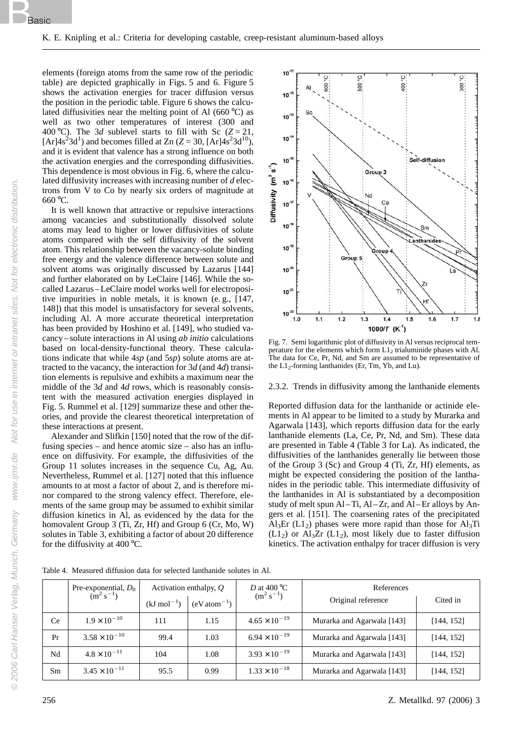elements (foreign atoms from the same row of the periodic table) are depicted graphically in Figs. 5 and 6. Figure 5 shows the activation energies for tracer diffusion versus the position in the periodic table. Figure 6 shows the calculated diffusivities near the melting point of Al  $(660 °C)$  as well as two other temperatures of interest (300 and 400 °C). The 3*d* sublevel starts to fill with Sc ( $Z = 21$ ,  $[Ar]4s^{2}3d^{1}$  and becomes filled at Zn (Z = 30,  $[Ar]4s^{2}3d^{10}$ ), and it is evident that valence has a strong influence on both the activation energies and the corresponding diffusivities. This dependence is most obvious in Fig. 6, where the calculated diffusivity increases with increasing number of *d* electrons from V to Co by nearly six orders of magnitude at 660 °C.

It is well known that attractive or repulsive interactions among vacancies and substitutionally dissolved solute atoms may lead to higher or lower diffusivities of solute atoms compared with the self diffusivity of the solvent atom. This relationship between the vacancy-solute binding free energy and the valence difference between solute and solvent atoms was originally discussed by Lazarus [144] and further elaborated on by LeClaire [146]. While the socalled Lazarus – LeClaire model works well for electropositive impurities in noble metals, it is known (e. g., [147, 148]) that this model is unsatisfactory for several solvents, including Al. A more accurate theoretical interpretation has been provided by Hoshino et al. [149], who studied vacancy – solute interactions in Al using *ab initio* calculations based on local-density-functional theory. These calculations indicate that while 4*sp* (and 5*sp*) solute atoms are attracted to the vacancy, the interaction for 3*d* (and 4*d*) transition elements is repulsive and exhibits a maximum near the middle of the 3*d* and 4*d* rows, which is reasonably consistent with the measured activation energies displayed in Fig. 5. Rummel et al. [129] summarize these and other theories, and provide the clearest theoretical interpretation of these interactions at present.

Alexander and Slifkin [150] noted that the row of the diffusing species – and hence atomic size – also has an influence on diffusivity. For example, the diffusivities of the Group 11 solutes increases in the sequence Cu, Ag, Au. Nevertheless, Rummel et al. [127] noted that this influence amounts to at most a factor of about 2, and is therefore minor compared to the strong valency effect. Therefore, elements of the same group may be assumed to exhibit similar diffusion kinetics in Al, as evidenced by the data for the homovalent Group 3 (Ti, Zr, Hf) and Group 6 (Cr, Mo, W) solutes in Table 3, exhibiting a factor of about 20 difference for the diffusivity at  $400^{\circ}$ C.



Fig. 7. Semi logarithmic plot of diffusivity in Al versus reciprocal temperature for the elements which form  $L1<sub>2</sub>$  trialuminide phases with Al. The data for Ce, Pr, Nd, and Sm are assumed to be representative of the  $L1_2$ -forming lanthanides (Er, Tm, Yb, and Lu).

2.3.2. Trends in diffusivity among the lanthanide elements

Reported diffusion data for the lanthanide or actinide elements in Al appear to be limited to a study by Murarka and Agarwala [143], which reports diffusion data for the early lanthanide elements (La, Ce, Pr, Nd, and Sm). These data are presented in Table 4 (Table 3 for La). As indicated, the diffusivities of the lanthanides generally lie between those of the Group 3 (Sc) and Group 4 (Ti, Zr, Hf) elements, as might be expected considering the position of the lanthanides in the periodic table. This intermediate diffusivity of the lanthanides in Al is substantiated by a decomposition study of melt spun Al-Ti, Al-Zr, and Al-Er alloys by Angers et al. [151]. The coarsening rates of the precipitated Al<sub>3</sub>Er (L1<sub>2</sub>) phases were more rapid than those for Al<sub>3</sub>Ti  $(L1<sub>2</sub>)$  or Al<sub>3</sub>Zr  $(L1<sub>2</sub>)$ , most likely due to faster diffusion kinetics. The activation enthalpy for tracer diffusion is very

Table 4. Measured diffusion data for selected lanthanide solutes in Al.

|           | Pre-exponential, $D_0$<br>(m <sup>2</sup> s <sup>-1</sup> ) | Activation enthalpy, $Q$ |                                        | D at 400 $^{\circ}$ C  | References                 |            |
|-----------|-------------------------------------------------------------|--------------------------|----------------------------------------|------------------------|----------------------------|------------|
|           |                                                             | $(kJ \text{ mol}^{-1})$  | $\frac{1}{2}$ (eV atom <sup>-1</sup> ) | $(m^2 s^{-1})$         | Original reference         | Cited in   |
| <b>Ce</b> | $1.9 \times 10^{-10}$                                       | 111                      | 1.15                                   | $4.65 \times 10^{-19}$ | Murarka and Agarwala [143] | [144, 152] |
| Pr        | $3.58 \times 10^{-10}$                                      | 99.4                     | 1.03                                   | $6.94 \times 10^{-19}$ | Murarka and Agarwala [143] | [144, 152] |
| Nd        | $4.8 \times 10^{-11}$                                       | 104                      | 1.08                                   | $3.93 \times 10^{-19}$ | Murarka and Agarwala [143] | [144, 152] |
| Sm        | $3.45 \times 10^{-11}$                                      | 95.5                     | 0.99                                   | $1.33 \times 10^{-18}$ | Murarka and Agarwala [143] | [144, 152] |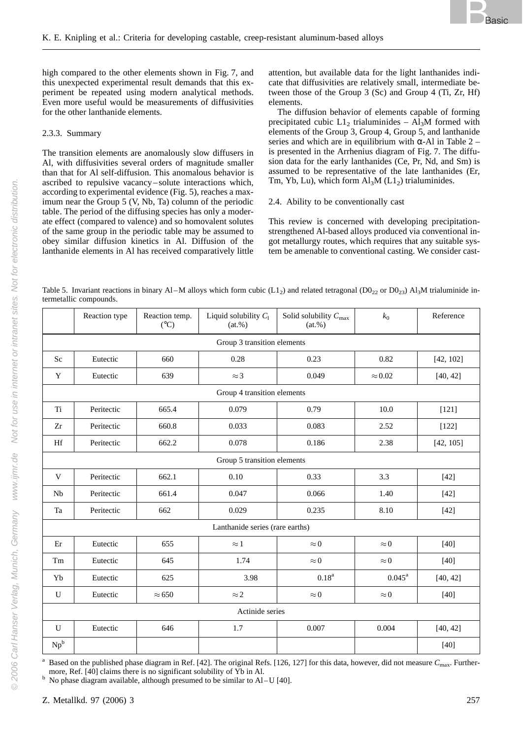high compared to the other elements shown in Fig. 7, and this unexpected experimental result demands that this experiment be repeated using modern analytical methods. Even more useful would be measurements of diffusivities for the other lanthanide elements.

# 2.3.3. Summary

© 2006 Carl Hanser Verlag, Munich, Germany www.ijmr.de Not for use in internet or intranet sites. Not for electronic distribution.

www.ijmr.de

© 2006 Carl Hanser Verlag, Munich, Germany

Not for use in internet or intranet sites. Not for electronic distribution

The transition elements are anomalously slow diffusers in Al, with diffusivities several orders of magnitude smaller than that for Al self-diffusion. This anomalous behavior is ascribed to repulsive vacancy –solute interactions which, according to experimental evidence (Fig. 5), reaches a maximum near the Group 5 (V, Nb, Ta) column of the periodic table. The period of the diffusing species has only a moderate effect (compared to valence) and so homovalent solutes of the same group in the periodic table may be assumed to obey similar diffusion kinetics in Al. Diffusion of the lanthanide elements in Al has received comparatively little

Reaction type Reaction temp.

 $(^{\circ}C)$ 

attention, but available data for the light lanthanides indicate that diffusivities are relatively small, intermediate between those of the Group 3 (Sc) and Group 4 (Ti, Zr, Hf) elements.

Basic

The diffusion behavior of elements capable of forming precipitated cubic  $L_1$ <sup>2</sup> trialuminides – Al<sub>3</sub>M formed with elements of the Group 3, Group 4, Group 5, and lanthanide series and which are in equilibrium with  $\alpha$ -Al in Table 2 – is presented in the Arrhenius diagram of Fig. 7. The diffusion data for the early lanthanides (Ce, Pr, Nd, and Sm) is assumed to be representative of the late lanthanides (Er, Tm, Yb, Lu), which form  $Al<sub>3</sub>M (L1<sub>2</sub>)$  trialuminides.

## 2.4. Ability to be conventionally cast

Solid solubility  $C_{\text{max}}$ (at.%)

This review is concerned with developing precipitationstrengthened Al-based alloys produced via conventional ingot metallurgy routes, which requires that any suitable system be amenable to conventional casting. We consider cast-

*k*<sup>0</sup> Reference

Table 5. Invariant reactions in binary Al – M alloys which form cubic (L1<sub>2</sub>) and related tetragonal (D0<sub>22</sub> or D0<sub>23</sub>) Al<sub>3</sub>M trialuminide intermetallic compounds.

Group 3 transition elements

Sc Eutectic 660 (0.28 0.23 0.82 [42, 102] Y Eutectic  $\begin{array}{|c|c|c|c|c|c|c|c|c|} \hline \end{array}$  639  $\begin{array}{|c|c|c|c|c|c|c|c|} \hline \approx 3 & 0.049 & \approx 0.02 & \begin{array}{|c|c|c|c|c|} \hline \end{array}$  40, 42]

Liquid solubility  $C_1$ (at.%)

| Group 4 transition elements                                                                                                                               |            |               |                |                |                 |           |  |
|-----------------------------------------------------------------------------------------------------------------------------------------------------------|------------|---------------|----------------|----------------|-----------------|-----------|--|
| <b>Ti</b>                                                                                                                                                 | Peritectic | 665.4         | 0.079<br>0.79  |                | 10.0            | $[121]$   |  |
| Zr                                                                                                                                                        | Peritectic | 660.8         | 0.033          | 0.083          | 2.52            | $[122]$   |  |
| Hf                                                                                                                                                        | Peritectic | 662.2         | 0.078          | 0.186          | 2.38            | [42, 105] |  |
| Group 5 transition elements                                                                                                                               |            |               |                |                |                 |           |  |
| V                                                                                                                                                         | Peritectic | 662.1         | 0.10           | 0.33           | 3.3             | $[42]$    |  |
| Nb                                                                                                                                                        | Peritectic | 661.4         | 0.047          | 0.066          | 1.40            | $[42]$    |  |
| Ta                                                                                                                                                        | Peritectic | 662           | 0.029<br>0.235 |                | 8.10            | $[42]$    |  |
| Lanthanide series (rare earths)                                                                                                                           |            |               |                |                |                 |           |  |
| Er                                                                                                                                                        | Eutectic   | 655           | $\approx$ 1    | $\approx 0$    | $\approx 0$     | $[40]$    |  |
| Tm                                                                                                                                                        | Eutectic   | 645           | 1.74           | $\approx 0$    | $\approx 0$     | $[40]$    |  |
| Yb                                                                                                                                                        | Eutectic   | 625           | 3.98           | $0.18^{\rm a}$ | $0.045^{\rm a}$ | [40, 42]  |  |
| U                                                                                                                                                         | Eutectic   | $\approx 650$ | $\approx$ 2    | $\approx 0$    | $\approx 0$     | $[40]$    |  |
| Actinide series                                                                                                                                           |            |               |                |                |                 |           |  |
| U                                                                                                                                                         | Eutectic   | 646           | 1.7            | 0.007          | 0.004           | [40, 42]  |  |
| $Np^b$                                                                                                                                                    |            |               |                |                |                 | $[40]$    |  |
| $^a$ Deed on the multiplied phase discusses in Def. [49]. The enjoined Defe. [196, 197] for this data, however, did not measure $C$<br>$E_{\text{total}}$ |            |               |                |                |                 |           |  |

Based on the published phase diagram in Ref. [42]. The original Refs. [126, 127] for this data, however, did not measure *C*<sub>max</sub>. Further-<br>more, Ref. [40] claims there is no significant solubility of Yb in Al.

 $h$  No phase diagram available, although presumed to be similar to Al – U [40].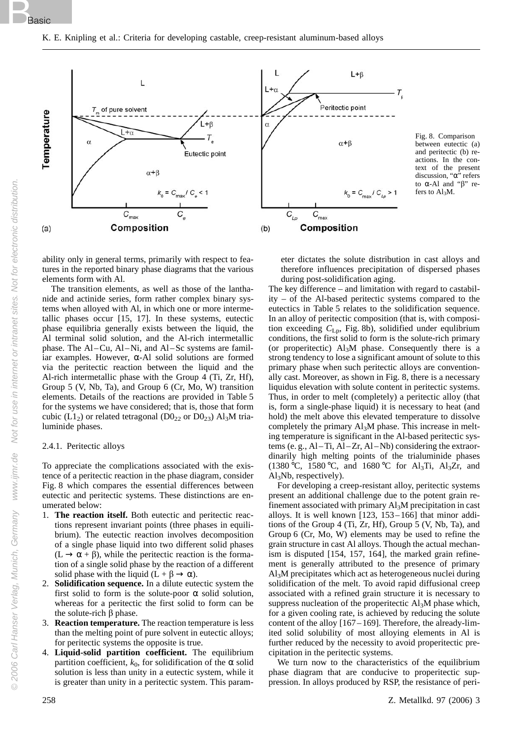**Basic** 







ability only in general terms, primarily with respect to features in the reported binary phase diagrams that the various elements form with Al.

The transition elements, as well as those of the lanthanide and actinide series, form rather complex binary systems when alloyed with Al, in which one or more intermetallic phases occur [15, 17]. In these systems, eutectic phase equilibria generally exists between the liquid, the Al terminal solid solution, and the Al-rich intermetallic phase. The Al-Cu, Al-Ni, and Al-Sc systems are familiar examples. However, α-Al solid solutions are formed via the peritectic reaction between the liquid and the Al-rich intermetallic phase with the Group 4 (Ti, Zr, Hf), Group 5 (V, Nb, Ta), and Group 6 (Cr, Mo, W) transition elements. Details of the reactions are provided in Table 5 for the systems we have considered; that is, those that form cubic (L1<sub>2</sub>) or related tetragonal (D0<sub>22</sub> or D0<sub>23</sub>) Al<sub>3</sub>M trialuminide phases.

## 2.4.1. Peritectic alloys

To appreciate the complications associated with the existence of a peritectic reaction in the phase diagram, consider Fig. 8 which compares the essential differences between eutectic and peritectic systems. These distinctions are enumerated below:

- 1. **The reaction itself.** Both eutectic and peritectic reactions represent invariant points (three phases in equilibrium). The eutectic reaction involves decomposition of a single phase liquid into two different solid phases  $(L \rightarrow \alpha + \beta)$ , while the peritectic reaction is the formation of a single solid phase by the reaction of a different solid phase with the liquid  $(L + \beta \rightarrow \alpha)$ .
- 2. **Solidification sequence.** In a dilute eutectic system the first solid to form is the solute-poor  $\alpha$  solid solution, whereas for a peritectic the first solid to form can be the solute-rich  $\beta$  phase.
- 3. **Reaction temperature.** The reaction temperature is less than the melting point of pure solvent in eutectic alloys; for peritectic systems the opposite is true.
- 4. **Liquid-solid partition coefficient.** The equilibrium partition coefficient,  $k_0$ , for solidification of the  $\alpha$  solid solution is less than unity in a eutectic system, while it is greater than unity in a peritectic system. This param-

eter dictates the solute distribution in cast alloys and therefore influences precipitation of dispersed phases during post-solidification aging.

The key difference – and limitation with regard to castability – of the Al-based peritectic systems compared to the eutectics in Table 5 relates to the solidification sequence. In an alloy of peritectic composition (that is, with composition exceeding *C*Lp, Fig. 8b), solidified under equlibrium conditions, the first solid to form is the solute-rich primary (or properitectic)  $\text{Al}_3\text{M}$  phase. Consequently there is a strong tendency to lose a significant amount of solute to this primary phase when such peritectic alloys are conventionally cast. Moreover, as shown in Fig. 8, there is a necessary liquidus elevation with solute content in peritectic systems. Thus, in order to melt (completely) a peritectic alloy (that is, form a single-phase liquid) it is necessary to heat (and hold) the melt above this elevated temperature to dissolve completely the primary Al3M phase. This increase in melting temperature is significant in the Al-based peritectic systems (e. g.,  $Al$ –Ti,  $Al$ –Zr,  $Al$ –Nb) considering the extraordinarily high melting points of the trialuminide phases  $(1380 \degree C, 1580 \degree C, \text{ and } 1680 \degree C \text{ for Al}_3\text{Ti}, \text{Al}_3\text{Zr}, \text{ and }$ Al3Nb, respectively).

For developing a creep-resistant alloy, peritectic systems present an additional challenge due to the potent grain refinement associated with primary Al3M precipitation in cast alloys. It is well known  $[123, 153-166]$  that minor additions of the Group 4 (Ti, Zr, Hf), Group 5 (V, Nb, Ta), and Group 6 (Cr, Mo, W) elements may be used to refine the grain structure in cast Al alloys. Though the actual mechanism is disputed [154, 157, 164], the marked grain refinement is generally attributed to the presence of primary Al3M precipitates which act as heterogeneous nuclei during solidification of the melt. To avoid rapid diffusional creep associated with a refined grain structure it is necessary to suppress nucleation of the properitectic  $A<sub>13</sub>M$  phase which, for a given cooling rate, is achieved by reducing the solute content of the alloy [167 – 169]. Therefore, the already-limited solid solubility of most alloying elements in Al is further reduced by the necessity to avoid properitectic precipitation in the peritectic systems.

We turn now to the characteristics of the equilibrium phase diagram that are conducive to properitectic suppression. In alloys produced by RSP, the resistance of peri-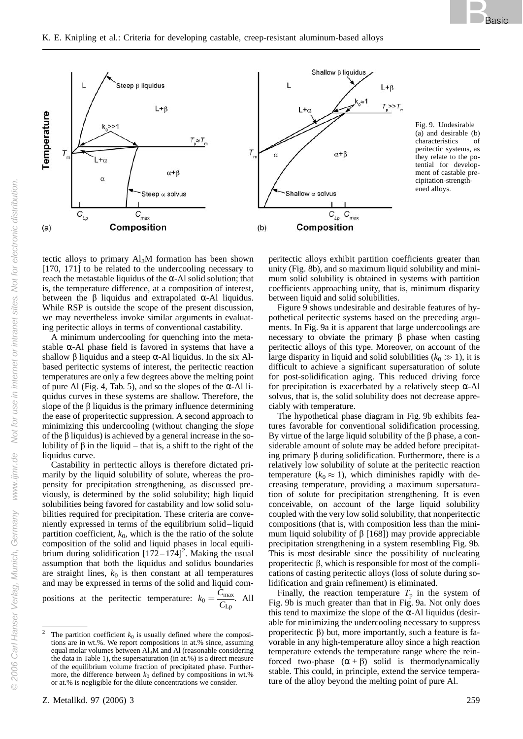

Fig. 9. Undesirable (a) and desirable  $(b)$ <br>characteristics of characteristics peritectic systems, as they relate to the potential for development of castable precipitation-strengthened alloys.

tectic alloys to primary  $Al<sub>3</sub>M$  formation has been shown [170, 171] to be related to the undercooling necessary to reach the metastable liquidus of the  $\alpha$ -Al solid solution; that is, the temperature difference, at a composition of interest, between the  $\beta$  liquidus and extrapolated  $\alpha$ -Al liquidus. While RSP is outside the scope of the present discussion, we may nevertheless invoke similar arguments in evaluating peritectic alloys in terms of conventional castability.

A minimum undercooling for quenching into the metastable  $\alpha$ -Al phase field is favored in systems that have a shallow  $\beta$  liquidus and a steep  $\alpha$ -Al liquidus. In the six Albased peritectic systems of interest, the peritectic reaction temperatures are only a few degrees above the melting point of pure Al (Fig. 4, Tab. 5), and so the slopes of the  $\alpha$ -Al liquidus curves in these systems are shallow. Therefore, the slope of the  $\beta$  liquidus is the primary influence determining the ease of properitectic suppression. A second approach to minimizing this undercooling (without changing the *slope* of the  $\beta$  liquidus) is achieved by a general increase in the solubility of  $\beta$  in the liquid – that is, a shift to the right of the liquidus curve.

Castability in peritectic alloys is therefore dictated primarily by the liquid solubility of solute, whereas the propensity for precipitation strengthening, as discussed previously, is determined by the solid solubility; high liquid solubilities being favored for castability and low solid solubilities required for precipitation. These criteria are conveniently expressed in terms of the equilibrium solid– liquid partition coefficient,  $k_0$ , which is the the ratio of the solute composition of the solid and liquid phases in local equilibrium during solidification  $[172 - 174]^2$ . Making the usual assumption that both the liquidus and solidus boundaries are straight lines,  $k_0$  is then constant at all temperatures and may be expressed in terms of the solid and liquid compositions at the peritectic temperature:  $k_0 = \frac{C_{\text{max}}}{C_{\text{Lp}}}$ . All

peritectic alloys exhibit partition coefficients greater than unity (Fig. 8b), and so maximum liquid solubility and minimum solid solubility is obtained in systems with partition coefficients approaching unity, that is, minimum disparity between liquid and solid solubilities.

Figure 9 shows undesirable and desirable features of hypothetical peritectic systems based on the preceding arguments. In Fig. 9a it is apparent that large undercoolings are necessary to obviate the primary  $\beta$  phase when casting peritectic alloys of this type. Moreover, on account of the large disparity in liquid and solid solubilities  $(k_0 \gg 1)$ , it is difficult to achieve a significant supersaturation of solute for post-solidification aging. This reduced driving force for precipitation is exacerbated by a relatively steep  $\alpha$ -Al solvus, that is, the solid solubility does not decrease appreciably with temperature.

The hypothetical phase diagram in Fig. 9b exhibits features favorable for conventional solidification processing. By virtue of the large liquid solubility of the  $\beta$  phase, a considerable amount of solute may be added before precipitating primary  $\beta$  during solidification. Furthermore, there is a relatively low solubility of solute at the peritectic reaction temperature  $(k_0 \approx 1)$ , which diminishes rapidly with decreasing temperature, providing a maximum supersaturation of solute for precipitation strengthening. It is even conceivable, on account of the large liquid solubility coupled with the very low solid solubility, that nonperitectic compositions (that is, with composition less than the minimum liquid solubility of  $\beta$  [168]) may provide appreciable precipitation strengthening in a system resembling Fig. 9b. This is most desirable since the possibility of nucleating properitectic  $\beta$ , which is responsible for most of the complications of casting peritectic alloys (loss of solute during solidification and grain refinement) is eliminated.

Finally, the reaction temperature  $T_p$  in the system of Fig. 9b is much greater than that in Fig. 9a. Not only does this tend to maximize the slope of the  $\alpha$ -Al liquidus (desirable for minimizing the undercooling necessary to suppress properitectic  $\beta$ ) but, more importantly, such a feature is favorable in any high-temperature alloy since a high reaction temperature extends the temperature range where the reinforced two-phase  $(\alpha + \beta)$  solid is thermodynamically stable. This could, in principle, extend the service temperature of the alloy beyond the melting point of pure Al.

<sup>&</sup>lt;sup>2</sup> The partition coefficient  $k_0$  is usually defined where the compositions are in wt.%. We report compositions in at.% since, assuming equal molar volumes between Al<sub>3</sub>M and Al (reasonable considering the data in Table 1), the supersaturation (in at.%) is a direct measure of the equilibrium volume fraction of precipitated phase. Furthermore, the difference between  $k_0$  defined by compositions in wt.% or at.% is negligible for the dilute concentrations we consider.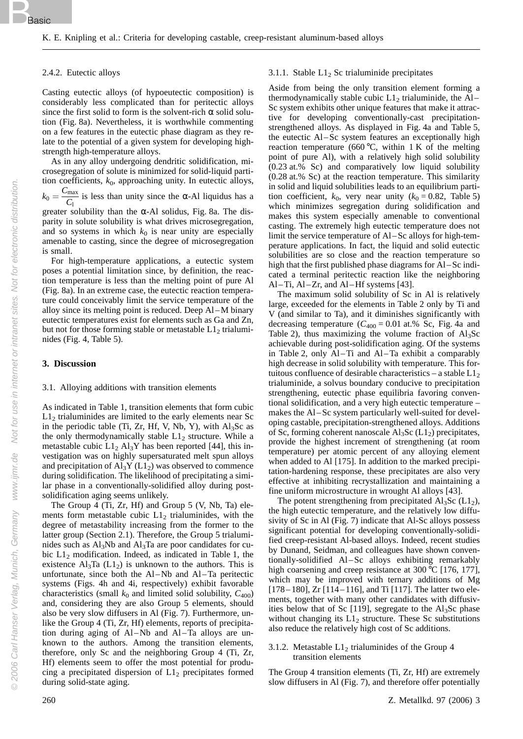# 2.4.2. Eutectic alloys

Casting eutectic alloys (of hypoeutectic composition) is considerably less complicated than for peritectic alloys since the first solid to form is the solvent-rich  $\alpha$  solid solution (Fig. 8a). Nevertheless, it is worthwhile commenting on a few features in the eutectic phase diagram as they relate to the potential of a given system for developing highstrength high-temperature alloys.

As in any alloy undergoing dendritic solidification, microsegregation of solute is minimized for solid-liquid partition coefficients,  $k_0$ , approaching unity. In eutectic alloys,

 $k_0 = \frac{C_{\text{max}}}{C_1}$  is less than unity since the α-Al liquidus has a

greater solubility than the  $\alpha$ -Al solidus, Fig. 8a. The disparity in solute solubility is what drives microsegregation, and so systems in which  $k_0$  is near unity are especially amenable to casting, since the degree of microsegregation is small.

For high-temperature applications, a eutectic system poses a potential limitation since, by definition, the reaction temperature is less than the melting point of pure Al (Fig. 8a). In an extreme case, the eutectic reaction temperature could conceivably limit the service temperature of the alloy since its melting point is reduced. Deep Al–M binary eutectic temperatures exist for elements such as Ga and Zn, but not for those forming stable or metastable  $L1<sub>2</sub>$  trialuminides (Fig. 4, Table 5).

#### **3. Discussion**

© 2006 Carl Hanser Verlag, Munich, Germany www.ijmr.de Not for use in internet or intranet sites. Not for electronic distribution.

www.ijmr.de

© 2006 Carl Hanser Verlaq, Munich, Germany

Not for use in internet or intranet sites. Not for electronic distribution

#### 3.1. Alloying additions with transition elements

As indicated in Table 1, transition elements that form cubic  $L1<sub>2</sub>$  trialuminides are limited to the early elements near Sc in the periodic table (Ti, Zr, Hf, V, Nb, Y), with  $Al<sub>3</sub>Sc$  as the only thermodynamically stable  $L1_2$  structure. While a metastable cubic  $L1_2$  Al<sub>3</sub>Y has been reported [44], this investigation was on highly supersaturated melt spun alloys and precipitation of  $\overrightarrow{A_3Y}$  (L1<sub>2</sub>) was observed to commence during solidification. The likelihood of precipitating a similar phase in a conventionally-solidified alloy during postsolidification aging seems unlikely.

The Group  $\overline{4}$  (Ti, Zr, Hf) and Group 5 (V, Nb, Ta) elements form metastable cubic  $L1<sub>2</sub>$  trialuminides, with the degree of metastability increasing from the former to the latter group (Section 2.1). Therefore, the Group 5 trialuminides such as  $Al<sub>3</sub>Nb$  and  $Al<sub>3</sub>Ta$  are poor candidates for cubic  $L1_2$  modification. Indeed, as indicated in Table 1, the existence  $Al_3Ta$  (L1<sub>2</sub>) is unknown to the authors. This is unfortunate, since both the  $Al-Nb$  and  $Al-Ta$  peritectic systems (Figs. 4h and 4i, respectively) exhibit favorable characteristics (small  $k_0$  and limited solid solubility,  $C_{400}$ ) and, considering they are also Group 5 elements, should also be very slow diffusers in Al (Fig. 7). Furthermore, unlike the Group 4 (Ti, Zr, Hf) elements, reports of precipitation during aging of Al–Nb and Al–Ta alloys are unknown to the authors. Among the transition elements, therefore, only Sc and the neighboring Group 4 (Ti, Zr, Hf) elements seem to offer the most potential for producing a precipitated dispersion of  $L1<sub>2</sub>$  precipitates formed during solid-state aging.

#### 3.1.1. Stable  $L1<sub>2</sub>$  Sc trialuminide precipitates

Aside from being the only transition element forming a thermodynamically stable cubic  $L1<sub>2</sub>$  trialuminide, the Al-Sc system exhibits other unique features that make it attractive for developing conventionally-cast precipitationstrengthened alloys. As displayed in Fig. 4a and Table 5, the eutectic Al–Sc system features an exceptionally high reaction temperature (660 °C, within 1 K of the melting point of pure Al), with a relatively high solid solubility (0.23 at.% Sc) and comparatively low liquid solubility (0.28 at.% Sc) at the reaction temperature. This similarity in solid and liquid solubilities leads to an equilibrium partition coefficient,  $k_0$ , very near unity  $(k_0 = 0.82,$  Table 5) which minimizes segregation during solidification and makes this system especially amenable to conventional casting. The extremely high eutectic temperature does not limit the service temperature of Al – Sc alloys for high-temperature applications. In fact, the liquid and solid eutectic solubilities are so close and the reaction temperature so high that the first published phase diagrams for Al–Sc indicated a terminal peritectic reaction like the neighboring Al-Ti, Al-Zr, and Al-Hf systems [43].

The maximum solid solubility of Sc in Al is relatively large, exceeded for the elements in Table 2 only by Ti and V (and similar to Ta), and it diminishes significantly with decreasing temperature  $(C_{400} = 0.01$  at.% Sc, Fig. 4a and Table 2), thus maximizing the volume fraction of  $A<sub>13</sub>Sc$ achievable during post-solidification aging. Of the systems in Table 2, only Al – Ti and Al – Ta exhibit a comparably high decrease in solid solubility with temperature. This fortuitous confluence of desirable characteristics – a stable  $L1<sub>2</sub>$ trialuminide, a solvus boundary conducive to precipitation strengthening, eutectic phase equilibria favoring conventional solidification, and a very high eutectic temperature – makes the Al-Sc system particularly well-suited for developing castable, precipitation-strengthened alloys. Additions of Sc, forming coherent nanoscale  $\text{Al}_3\text{Sc}$  (L1<sub>2</sub>) precipitates, provide the highest increment of strengthening (at room temperature) per atomic percent of any alloying element when added to Al [175]. In addition to the marked precipitation-hardening response, these precipitates are also very effective at inhibiting recrystallization and maintaining a fine uniform microstructure in wrought Al alloys [43].

The potent strengthening from precipitated  $Al_3Sc$  (L1<sub>2</sub>), the high eutectic temperature, and the relatively low diffusivity of Sc in Al (Fig. 7) indicate that Al-Sc alloys possess significant potential for developing conventionally-solidified creep-resistant Al-based alloys. Indeed, recent studies by Dunand, Seidman, and colleagues have shown conventionally-solidified Al – Sc alloys exhibiting remarkably high coarsening and creep resistance at 300 °C [176, 177], which may be improved with ternary additions of Mg [178 – 180], Zr [114 – 116], and Ti [117]. The latter two elements, together with many other candidates with diffusivities below that of Sc [119], segregate to the  $Al<sub>3</sub>Sc$  phase without changing its  $L1_2$  structure. These Sc substitutions also reduce the relatively high cost of Sc additions.

#### 3.1.2. Metastable  $L1<sub>2</sub>$  trialuminides of the Group 4 transition elements

The Group 4 transition elements (Ti, Zr, Hf) are extremely slow diffusers in Al (Fig. 7), and therefore offer potentially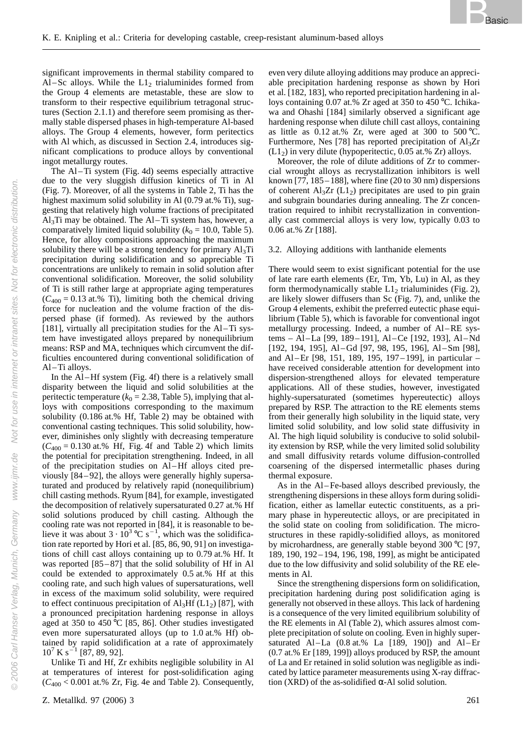significant improvements in thermal stability compared to Al-Sc alloys. While the  $L1<sub>2</sub>$  trialuminides formed from the Group 4 elements are metastable, these are slow to transform to their respective equilibrium tetragonal structures (Section 2.1.1) and therefore seem promising as thermally stable dispersed phases in high-temperature Al-based alloys. The Group 4 elements, however, form peritectics with Al which, as discussed in Section 2.4, introduces significant complications to produce alloys by conventional ingot metallurgy routes.

The Al-Ti system (Fig. 4d) seems especially attractive due to the very sluggish diffusion kinetics of Ti in Al (Fig. 7). Moreover, of all the systems in Table 2, Ti has the highest maximum solid solubility in Al (0.79 at.% Ti), suggesting that relatively high volume fractions of precipitated Al<sub>3</sub>Ti may be obtained. The Al-Ti system has, however, a comparatively limited liquid solubility  $(k_0 = 10.0,$  Table 5). Hence, for alloy compositions approaching the maximum solubility there will be a strong tendency for primary  $Al<sub>3</sub>Ti$ precipitation during solidification and so appreciable Ti concentrations are unlikely to remain in solid solution after conventional solidification. Moreover, the solid solubility of Ti is still rather large at appropriate aging temperatures  $(C_{400} = 0.13$  at.% Ti), limiting both the chemical driving force for nucleation and the volume fraction of the dispersed phase (if formed). As reviewed by the authors [181], virtually all precipitation studies for the Al – Ti system have investigated alloys prepared by nonequilibrium means: RSP and MA, techniques which circumvent the difficulties encountered during conventional solidification of Al-Ti alloys.

In the Al-Hf system (Fig. 4f) there is a relatively small disparity between the liquid and solid solubilities at the peritectic temperature ( $k_0 = 2.38$ , Table 5), implying that alloys with compositions corresponding to the maximum solubility (0.186 at.% Hf, Table 2) may be obtained with conventional casting techniques. This solid solubility, however, diminishes only slightly with decreasing temperature  $(C_{400} = 0.130$  at.% Hf, Fig. 4f and Table 2) which limits the potential for precipitation strengthening. Indeed, in all of the precipitation studies on Al – Hf alloys cited previously [84-92], the alloys were generally highly supersaturated and produced by relatively rapid (nonequilibrium) chill casting methods. Ryum [84], for example, investigated the decomposition of relatively supersaturated 0.27 at.% Hf solid solutions produced by chill casting. Although the cooling rate was not reported in [84], it is reasonable to believe it was about  $3 \cdot 10^3$  °C s<sup>-1</sup>, which was the solidification rate reported by Hori et al. [85, 86, 90, 91] on investigations of chill cast alloys containing up to 0.79 at.% Hf. It was reported  $[85-87]$  that the solid solubility of Hf in Al could be extended to approximately 0.5 at.% Hf at this cooling rate, and such high values of supersaturations, well in excess of the maximum solid solubility, were required to effect continuous precipitation of  $Al<sub>3</sub>Hf (L1<sub>2</sub>)$  [87], with a pronounced precipitation hardening response in alloys aged at 350 to 450 °C [85, 86]. Other studies investigated even more supersaturated alloys (up to 1.0 at.% Hf) obtained by rapid solidification at a rate of approximately  $10^7$  K s<sup>-1</sup> [87, 89, 92].

Unlike Ti and Hf, Zr exhibits negligible solubility in Al at temperatures of interest for post-solidification aging  $(C_{400} < 0.001$  at.% Zr, Fig. 4e and Table 2). Consequently, even very dilute alloying additions may produce an appreciable precipitation hardening response as shown by Hori et al. [182, 183], who reported precipitation hardening in alloys containing 0.07 at.% Zr aged at 350 to 450 °C. Ichikawa and Ohashi [184] similarly observed a significant age hardening response when dilute chill cast alloys, containing as little as  $0.12$  at.% Zr, were aged at 300 to 500 °C. Furthermore, Nes [78] has reported precipitation of Al<sub>3</sub>Zr  $(L1<sub>2</sub>)$  in very dilute (hypoperitectic, 0.05 at.% Zr) alloys.

Moreover, the role of dilute additions of Zr to commercial wrought alloys as recrystallization inhibitors is well known  $[77, 185 - 188]$ , where fine (20 to 30 nm) dispersions of coherent Al<sub>3</sub>Zr (L1<sub>2</sub>) precipitates are used to pin grain and subgrain boundaries during annealing. The Zr concentration required to inhibit recrystallization in conventionally cast commercial alloys is very low, typically 0.03 to 0.06 at.% Zr [188].

# 3.2. Alloying additions with lanthanide elements

There would seem to exist significant potential for the use of late rare earth elements (Er, Tm, Yb, Lu) in Al, as they form thermodynamically stable  $L1<sub>2</sub>$  trialuminides (Fig. 2), are likely slower diffusers than Sc (Fig. 7), and, unlike the Group 4 elements, exhibit the preferred eutectic phase equilibrium (Table 5), which is favorable for conventional ingot metallurgy processing. Indeed, a number of Al–RE systems – Al-La [99, 189–191], Al-Ce [192, 193], Al-Nd [192, 194, 195], Al-Gd [97, 98, 195, 196], Al-Sm [98], and Al-Er [98, 151, 189, 195, 197-199], in particular have received considerable attention for development into dispersion-strengthened alloys for elevated temperature applications. All of these studies, however, investigated highly-supersaturated (sometimes hypereutectic) alloys prepared by RSP. The attraction to the RE elements stems from their generally high solubility in the liquid state, very limited solid solubility, and low solid state diffusivity in Al. The high liquid solubility is conducive to solid solubility extension by RSP, while the very limited solid solubility and small diffusivity retards volume diffusion-controlled coarsening of the dispersed intermetallic phases during thermal exposure.

As in the Al – Fe-based alloys described previously, the strengthening dispersions in these alloys form during solidification, either as lamellar eutectic constituents, as a primary phase in hypereutectic alloys, or are precipitated in the solid state on cooling from solidification. The microstructures in these rapidly-solidified alloys, as monitored by microhardness, are generally stable beyond 300 °C [97, 189, 190, 192 –194, 196, 198, 199], as might be anticipated due to the low diffusivity and solid solubility of the RE elements in Al.

Since the strengthening dispersions form on solidification, precipitation hardening during post solidification aging is generally not observed in these alloys. This lack of hardening is a consequence of the very limited equilibrium solubility of the RE elements in Al (Table 2), which assures almost complete precipitation of solute on cooling. Even in highly supersaturated Al-La  $(0.8$  at.% La  $[189, 190]$  and Al-Er (0.7 at.% Er [189, 199]) alloys produced by RSP, the amount of La and Er retained in solid solution was negligible as indicated by lattice parameter measurements using X-ray diffraction (XRD) of the as-solidified  $\alpha$ -Al solid solution.

www.jjmr.de

© 2006 Carl Hanser Verlag, Munich, Germany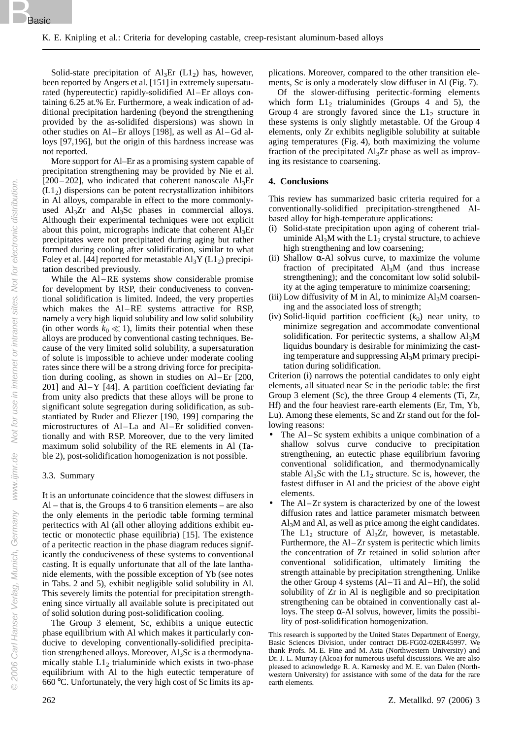Solid-state precipitation of  $Al_3Er (L1_2)$  has, however, been reported by Angers et al. [151] in extremely supersaturated (hypereutectic) rapidly-solidified Al –Er alloys containing 6.25 at.% Er. Furthermore, a weak indication of additional precipitation hardening (beyond the strengthening provided by the as-solidifed dispersions) was shown in other studies on Al – Er alloys [198], as well as Al – Gd alloys [97,196], but the origin of this hardness increase was not reported.

More support for Al–Er as a promising system capable of precipitation strengthening may be provided by Nie et al. [200 – 202], who indicated that coherent nanoscale  $Al<sub>3</sub>Er$  $(L1<sub>2</sub>)$  dispersions can be potent recrystallization inhibitors in Al alloys, comparable in effect to the more commonlyused  $Al<sub>3</sub>Zr$  and  $Al<sub>3</sub>Sc$  phases in commercial alloys. Although their experimental techniques were not explicit about this point, micrographs indicate that coherent  $Al<sub>3</sub>Er$ precipitates were not precipitated during aging but rather formed during cooling after solidification, similar to what Foley et al. [44] reported for metastable  $\text{Al}_3\text{Y}$  (L1<sub>2</sub>) precipitation described previously.

While the Al-RE systems show considerable promise for development by RSP, their conduciveness to conventional solidification is limited. Indeed, the very properties which makes the Al-RE systems attractive for RSP, namely a very high liquid solubility and low solid solubility (in other words  $k_0 \ll 1$ ), limits their potential when these alloys are produced by conventional casting techniques. Because of the very limited solid solubility, a supersaturation of solute is impossible to achieve under moderate cooling rates since there will be a strong driving force for precipitation during cooling, as shown in studies on Al-Er [200, 201] and Al-Y [44]. A partition coefficient deviating far from unity also predicts that these alloys will be prone to significant solute segregation during solidification, as substantiated by Ruder and Eliezer [190, 199] comparing the microstructures of Al-La and Al-Er solidified conventionally and with RSP. Moreover, due to the very limited maximum solid solubility of the RE elements in Al (Table 2), post-solidification homogenization is not possible.

## 3.3. Summary

It is an unfortunate coincidence that the slowest diffusers in Al – that is, the Groups 4 to 6 transition elements – are also the only elements in the periodic table forming terminal peritectics with Al (all other alloying additions exhibit eutectic or monotectic phase equilibria) [15]. The existence of a peritectic reaction in the phase diagram reduces significantly the conduciveness of these systems to conventional casting. It is equally unfortunate that all of the late lanthanide elements, with the possible exception of Yb (see notes in Tabs. 2 and 5), exhibit negligible solid solubility in Al. This severely limits the potential for precipitation strengthening since virtually all available solute is precipitated out of solid solution during post-solidification cooling.

The Group 3 element, Sc, exhibits a unique eutectic phase equilibrium with Al which makes it particularly conducive to developing conventionally-solidified precipitation strengthened alloys. Moreover,  $Al<sub>3</sub>Sc$  is a thermodynamically stable  $L_1$ , trialuminide which exists in two-phase equilibrium with Al to the high eutectic temperature of 660 °C. Unfortunately, the very high cost of Sc limits its applications. Moreover, compared to the other transition elements, Sc is only a moderately slow diffuser in Al (Fig. 7).

Of the slower-diffusing peritectic-forming elements which form  $L1_2$  trialuminides (Groups 4 and 5), the Group 4 are strongly favored since the  $L1<sub>2</sub>$  structure in these systems is only slightly metastable. Of the Group 4 elements, only Zr exhibits negligible solubility at suitable aging temperatures (Fig. 4), both maximizing the volume fraction of the precipitated Al<sub>3</sub>Zr phase as well as improving its resistance to coarsening.

# **4. Conclusions**

This review has summarized basic criteria required for a conventionally-solidified precipitation-strengthened Albased alloy for high-temperature applications:

- (i) Solid-state precipitation upon aging of coherent trialuminide  $Al_3M$  with the  $L1_2$  crystal structure, to achieve high strengthening and low coarsening;
- (ii) Shallow  $\alpha$ -Al solvus curve, to maximize the volume fraction of precipitated  $Al<sub>3</sub>M$  (and thus increase strengthening); and the concomitant low solid solubility at the aging temperature to minimize coarsening;
- (iii) Low diffusivity of M in Al, to minimize  $Al<sub>3</sub>M$  coarsening and the associated loss of strength;
- (iv) Solid-liquid partition coefficient  $(k_0)$  near unity, to minimize segregation and accommodate conventional solidification. For peritectic systems, a shallow  $Al<sub>3</sub>M$ liquidus boundary is desirable for minimizing the casting temperature and suppressing Al3M primary precipitation during solidification.

Criterion (i) narrows the potential candidates to only eight elements, all situated near Sc in the periodic table: the first Group 3 element (Sc), the three Group 4 elements (Ti, Zr, Hf) and the four heaviest rare-earth elements (Er, Tm, Yb, Lu). Among these elements, Sc and Zr stand out for the following reasons:

- The Al-Sc system exhibits a unique combination of a shallow solvus curve conducive to precipitation strengthening, an eutectic phase equilibrium favoring conventional solidification, and thermodynamically stable  $\text{Al}_3\text{Sc}$  with the  $\text{L1}_2$  structure. Sc is, however, the fastest diffuser in Al and the priciest of the above eight elements.
- The Al-Zr system is characterized by one of the lowest diffusion rates and lattice parameter mismatch between Al3M and Al, as well as price among the eight candidates. The  $L1_2$  structure of  $Al_3Zr$ , however, is metastable. Furthermore, the Al – Zr system is peritectic which limits the concentration of Zr retained in solid solution after conventional solidification, ultimately limiting the strength attainable by precipitation strengthening. Unlike the other Group 4 systems  $(AI-Ti$  and  $AI-Hf$ ), the solid solubility of Zr in Al is negligible and so precipitation strengthening can be obtained in conventionally cast alloys. The steep  $\alpha$ -Al solvus, however, limits the possibility of post-solidification homogenization.

This research is supported by the United States Department of Energy, Basic Sciences Division, under contract DE-FG02-02ER45997. We thank Profs. M. E. Fine and M. Asta (Northwestern University) and Dr. J. L. Murray (Alcoa) for numerous useful discussions. We are also pleased to acknowledge R. A. Karnesky and M. E. van Dalen (Northwestern University) for assistance with some of the data for the rare earth elements.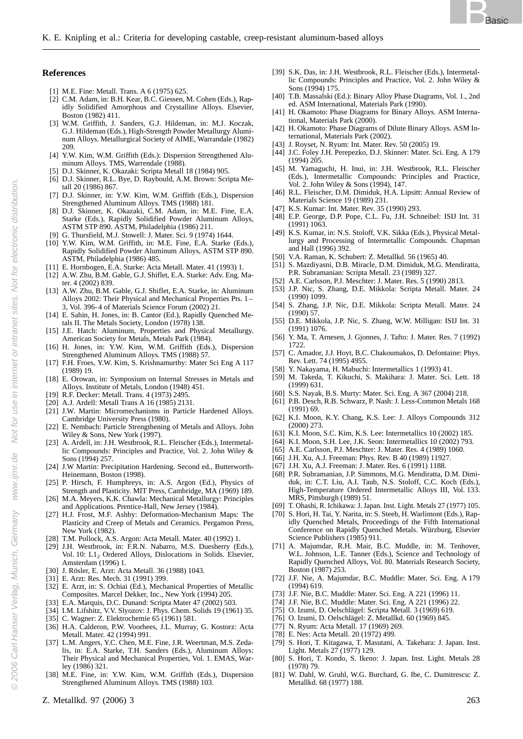

#### **References**

- [1] M.E. Fine: Metall. Trans. A 6 (1975) 625.
- [2] C.M. Adam, in: B.H. Kear, B.C. Giessen, M. Cohen (Eds.), Rapidly Solidified Amorphous and Crystalline Alloys. Elsevier, Boston (1982) 411.
- [3] W.M. Griffith, J. Sanders, G.J. Hildeman, in: M.J. Koczak, G.J. Hildeman (Eds.), High-Strength Powder Metallurgy Aluminum Alloys. Metallurgical Society of AIME, Warrandale (1982) 209.
- [4] Y.W. Kim, W.M. Griffith (Eds.): Dispersion Strengthened Aluminum Alloys. TMS, Warrendale (1988).
- [5] D.J. Skinner, K. Okazaki: Scripta Metall 18 (1984) 905.
- [6] D.J. Skinner, R.L. Bye, D. Raybould, A.M. Brown: Scripta Metall 20 (1986) 867.
- [7] D.J. Skinner, in: Y.W. Kim, W.M. Griffith (Eds.), Dispersion Strengthened Aluminum Alloys. TMS (1988) 181.
- [8] D.J. Skinner, K. Okazaki, C.M. Adam, in: M.E. Fine, E.A. Starke (Eds.), Rapidly Solidified Powder Aluminum Alloys, ASTM STP 890. ASTM, Philadelphia (1986) 211.
- [9] G. Thursfield, M.J. Stowell: J. Mater. Sci. 9 (1974) 1644.
- [10] Y.W. Kim, W.M. Griffith, in: M.E. Fine, E.A. Starke (Eds.), Rapidly Solidified Powder Aluminum Alloys, ASTM STP 890. ASTM, Philadelphia (1986) 485.
- [11] E. Hornbogen, E.A. Starke: Acta Metall. Mater. 41 (1993) 1.
- [12] A.W. Zhu, B.M. Gable, G.J. Shiflet, E.A. Starke: Adv. Eng. Mater. 4 (2002) 839.
- [13] A.W. Zhu, B.M. Gable, G.J. Shiflet, E.A. Starke, in: Aluminum Alloys 2002: Their Physical and Mechanical Properties Pts. 1– 3, Vol. 396- 4 of Materials Science Forum (2002) 21.
- [14] E. Sahin, H. Jones, in: B. Cantor (Ed.), Rapidly Quenched Metals II. The Metals Society, London (1978) 138.
- [15] J.E. Hatch: Aluminum, Properties and Physical Metallurgy. American Society for Metals, Metals Park (1984).
- [16] H. Jones, in: Y.W. Kim, W.M. Griffith (Eds.), Dispersion Strengthened Aluminum Alloys. TMS (1988) 57.
- [17] F.H. Froes, Y.W. Kim, S. Krishnamurthy: Mater Sci Eng A 117 (1989) 19.
- [18] E. Orowan, in: Symposium on Internal Stresses in Metals and Alloys. Institute of Metals, London (1948) 451.
- [19] R.F. Decker: Metall. Trans. 4 (1973) 2495.
- [20] A.J. Ardell: Metall Trans A 16 (1985) 2131.
- [21] J.W. Martin: Micromechanisms in Particle Hardened Alloys. Cambridge University Press (1980).
- [22] E. Nembach: Particle Strengthening of Metals and Alloys. John Wiley & Sons, New York (1997).
- [23] A. Ardell, in: J.H. Westbrook, R.L. Fleischer (Eds.), Intermetallic Compounds: Principles and Practice, Vol. 2. John Wiley & Sons (1994) 257
- [24] J.W Martin: Precipitation Hardening. Second ed., Butterworth-Heinemann, Boston (1998).
- [25] P. Hirsch, F. Humphreys, in: A.S. Argon (Ed.), Physics of Strength and Plasticity. MIT Press, Cambridge, MA (1969) 189.
- [26] M.A. Meyers, K.K. Chawla: Mechanical Metallurgy: Principles and Applications. Prentice-Hall, New Jersey (1984).
- [27] H.J. Frost, M.F. Ashby: Deformation-Mechanism Maps: The Plasticity and Creep of Metals and Ceramics. Pergamon Press, New York (1982).
- [28] T.M. Pollock, A.S. Argon: Acta Metall. Mater. 40 (1992) 1.
- [29] J.H. Westbrook, in: F.R.N. Nabarro, M.S. Duesberry (Eds.), Vol. 10: L12 Ordered Alloys, Dislocations in Solids. Elsevier, Amsterdam (1996) 1.
- [30] J. Rösler, E. Arzt: Acta Metall. 36 (1988) 1043.
- [31] E. Arzt: Res. Mech. 31 (1991) 399.
- [32] E. Arzt, in: S. Ochiai (Ed.), Mechanical Properties of Metallic Composites. Marcel Dekker, Inc., New York (1994) 205.
- [33] E.A. Marquis, D.C. Dunand: Scripta Mater 47 (2002) 503.
- [34] I.M. Lifshitz, V.V. Slyozov: J. Phys. Chem. Solids 19 (1961) 35.
- [35] C. Wagner: Z. Elektrochemie 65 (1961) 581.
- [36] H.A. Calderon, P.W. Voorhees, J.L. Murray, G. Kostorz: Acta Metall. Mater. 42 (1994) 991.
- [37] L.M. Angers, Y.C. Chen, M.E. Fine, J.R. Weertman, M.S. Zedalis, in: E.A. Starke, T.H. Sanders (Eds.), Aluminum Alloys: Their Physical and Mechanical Properties, Vol. 1. EMAS, Warley (1986) 321.
- [38] M.E. Fine, in: Y.W. Kim, W.M. Griffith (Eds.), Dispersion Strengthened Aluminum Alloys. TMS (1988) 103.
- [39] S.K. Das, in: J.H. Westbrook, R.L. Fleischer (Eds.), Intermetallic Compounds: Principles and Practice, Vol. 2. John Wiley & Sons (1994) 175.
- [40] T.B. Massalski (Ed.): Binary Alloy Phase Diagrams, Vol. 1., 2nd ed. ASM International, Materials Park (1990).
- [41] H. Okamoto: Phase Diagrams for Binary Alloys. ASM International, Materials Park (2000).
- [42] H. Okamoto: Phase Diagrams of Dilute Binary Alloys. ASM International, Materials Park (2002).
- [43] J. Royset, N. Ryum: Int. Mater. Rev. 50 (2005) 19.
- [44] J.C. Foley J.H. Perepezko, D.J. Skinner: Mater. Sci. Eng. A 179  $(1994)$   $205$ .
- [45] M. Yamaguchi, H. Inui, in: J.H. Westbrook, R.L. Fleischer (Eds.), Intermetallic Compounds: Principles and Practice, Vol. 2. John Wiley & Sons (1994), 147.
- [46] R.L. Fleischer, D.M. Dimiduk, H.A. Lipsitt: Annual Review of Materials Science 19 (1989) 231.
- [47] K.S. Kumar: Int. Mater. Rev. 35 (1990) 293.
- [48] E.P. George, D.P. Pope, C.L. Fu, J.H. Schneibel: ISIJ Int. 31 (1991) 1063.
- [49] K.S. Kumar, in: N.S. Stoloff, V.K. Sikka (Eds.), Physical Metallurgy and Processing of Intermetallic Compounds. Chapman and Hall (1996) 392.
- [50] V.A. Raman, K. Schubert: Z. Metallkd. 56 (1965) 40.
- [51] S. Mazdiyasni, D.B. Miracle, D.M. Dimiduk, M.G. Mendiratta, P.R. Subramanian: Scripta Metall. 23 (1989) 327.
- [52] A.E. Carlsson, P.J. Meschter: J. Mater. Res. 5 (1990) 2813.
- [53] J.P. Nic, S. Zhang, D.E. Mikkola: Scripta Metall. Mater. 24 (1990) 1099.
- [54] S. Zhang, J.P. Nic, D.E. Mikkola: Scripta Metall. Mater. 24 (1990) 57.
- [55] D.E. Mikkola, J.P. Nic, S. Zhang, W.W. Milligan: ISIJ Int. 31 (1991) 1076.
- [56] Y. Ma, T. Arnesen, J. Gjonnes, J. Tafto: J. Mater. Res. 7 (1992) 1722.
- [57] C. Amador, J.J. Hovt, B.C. Chakoumakos, D. Defontaine: Phys. Rev. Lett. 74 (1995) 4955.
- Y. Nakayama, H. Mabuchi: Intermetallics 1 (1993) 41.
- [59] M. Takeda, T. Kikuchi, S. Makihara: J. Mater. Sci. Lett. 18 (1999) 631.
- [60] S.S. Nayak, B.S. Murty: Mater. Sci. Eng. A 367 (2004) 218.
- [61] P.B. Desch, R.B. Schwarz, P. Nash: J. Less-Common Metals 168 (1991) 69.
- [62] K.I. Moon, K.Y. Chang, K.S. Lee: J. Alloys Compounds 312 (2000) 273.
- [63] K.I. Moon, S.C. Kim, K.S. Lee: Intermetallics 10 (2002) 185.
- [64] K.I. Moon, S.H. Lee, J.K. Seon: Intermetallics 10 (2002) 793.
- [65] A.E. Carlsson, P.J. Meschter: J. Mater. Res. 4 (1989) 1060.
- [66] J.H. Xu, A.J. Freeman: Phys. Rev. B 40 (1989) 11927.
- [67] J.H. Xu, A.J. Freeman: J. Mater. Res. 6 (1991) 1188.
- [68] P.R. Subramanian, J.P. Simmons, M.G. Mendiratta, D.M. Dimiduk, in: C.T. Liu, A.I. Taub, N.S. Stoloff, C.C. Koch (Eds.), High-Temperature Ordered Intermetallic Alloys III, Vol. 133. MRS, Pittsburgh (1989) 51.
- [69] T. Ohashi, R. Ichikawa: J. Japan. Inst. Light. Metals 27 (1977) 105.
- [70] S. Hori, H. Tai, Y. Narita, in: S. Steeb, H. Warlimont (Eds.), Rapidly Quenched Metals, Proceedings of the Fifth International Conference on Rapidly Quenched Metals. Würzburg, Elsevier Science Publishers (1985) 911.
- [71] A. Majumdar, R.H. Mair, B.C. Muddle, in: M. Tenhover, W.L. Johnson, L.E. Tanner (Eds.), Science and Technology of Rapidly Quenched Alloys, Vol. 80. Materials Research Society, Boston (1987) 253.
- [72] J.F. Nie, A. Majumdar, B.C. Muddle: Mater. Sci. Eng. A 179 (1994) 619.
- [73] J.F. Nie, B.C. Muddle: Mater. Sci. Eng. A 221 (1996) 11.
- [74] J.F. Nie, B.C. Muddle: Mater. Sci. Eng. A 221 (1996) 22.
- [75] O. Izumi, D. Oelschlägel: Scripta Metall. 3 (1969) 619.
- [76] O. Izumi, D. Oelschlägel: Z. Metallkd. 60 (1969) 845.
- [77] N. Ryum: Acta Metall. 17 (1969) 269.
- [78] E. Nes: Acta Metall. 20 (1972) 499.
- [79] S. Hori, T. Kitagawa, T. Masutani, A. Takehara: J. Japan. Inst. Light. Metals 27 (1977) 129.
- [80] S. Hori, T. Kondo, S. Ikeno: J. Japan. Inst. Light. Metals 28 (1978) 79.
- [81] W. Dahl, W. Gruhl, W.G. Burchard, G. Ibe, C. Dumitrescu: Z. Metallkd. 68 (1977) 188.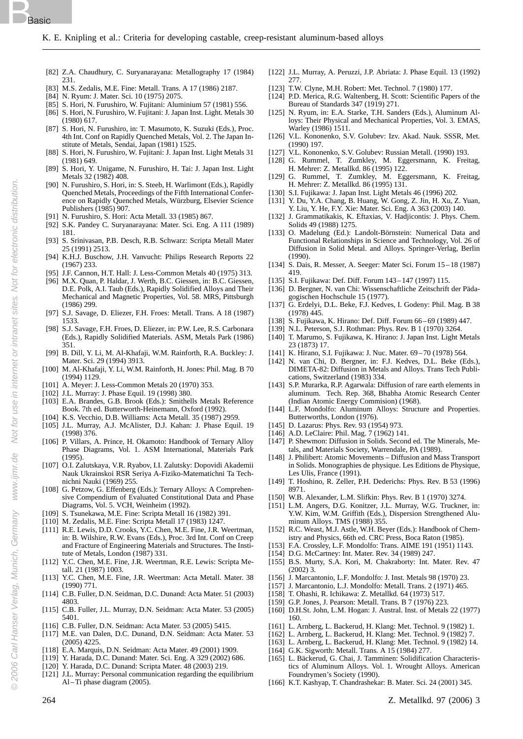# K. E. Knipling et al.: Criteria for developing castable, creep-resistant aluminum-based alloys

- [82] Z.A. Chaudhury, C. Suryanarayana: Metallography 17 (1984) 231.
- [83] M.S. Zedalis, M.E. Fine: Metall. Trans. A 17 (1986) 2187.
- [84] N. Ryum: J. Mater. Sci. 10 (1975) 2075.
- [85] S. Hori, N. Furushiro, W. Fujitani: Aluminium 57 (1981) 556.
- [86] S. Hori, N. Furushiro, W. Fujitani: J. Japan Inst. Light. Metals 30 (1980) 617.
- [87] S. Hori, N. Furushiro, in: T. Masumoto, K. Suzuki (Eds.), Proc. 4th Int. Conf on Rapidly Quenched Metals, Vol. 2. The Japan Institute of Metals, Sendai, Japan (1981) 1525.
- [88] S. Hori, N. Furushiro, W. Fujitani: J. Japan Inst. Light Metals 31 (1981) 649.
- [89] S. Hori, Y. Unigame, N. Furushiro, H. Tai: J. Japan Inst. Light Metals 32 (1982) 408.
- [90] N. Furushiro, S. Hori, in: S. Steeb, H. Warlimont (Eds.), Rapidly Quenched Metals, Proceedings of the Fifth International Conference on Rapidly Quenched Metals, Würzburg, Elsevier Science Publishers (1985) 907.
- [91] N. Furushiro, S. Hori: Acta Metall. 33 (1985) 867.
- [92] S.K. Pandey C. Suryanarayana: Mater. Sci. Eng. A 111 (1989) 181.
- [93] S. Srinivasan, P.B. Desch, R.B. Schwarz: Scripta Metall Mater 25 (1991) 2513.
- [94] K.H.J. Buschow, J.H. Vanvucht: Philips Research Reports 22 (1967) 233.
- [95] J.F. Cannon, H.T. Hall: J. Less-Common Metals 40 (1975) 313.
- [96] M.X. Quan, P. Haldar, J. Werth, B.C. Giessen, in: B.C. Giessen, D.E. Polk, A.I. Taub (Eds.), Rapidly Solidified Alloys and Their Mechanical and Magnetic Properties, Vol. 58. MRS, Pittsburgh (1986) 299.
- [97] S.J. Savage, D. Eliezer, F.H. Froes: Metall. Trans. A 18 (1987) 1533.
- [98] S.J. Savage, F.H. Froes, D. Eliezer, in: P.W. Lee, R.S. Carbonara (Eds.), Rapidly Solidified Materials. ASM, Metals Park (1986) 351.
- [99] B. Dill, Y. Li, M. Al-Khafaji, W.M. Rainforth, R.A. Buckley: J. Mater. Sci. 29 (1994) 3913.
- [100] M. Al-Khafaji, Y. Li, W.M. Rainforth, H. Jones: Phil. Mag. B 70 (1994) 1129.
- [101] A. Meyer: J. Less-Common Metals 20 (1970) 353.
- [102] J.L. Murray: J. Phase Equil. 19 (1998) 380.
- [103] E.A. Brandes, G.B. Brook (Eds.): Smithells Metals Reference Book. 7th ed. Butterworth-Heinemann, Oxford (1992).
- [104] K.S. Vecchio, D.B. Williams: Acta Metall. 35 (1987) 2959.
- [105] J.L. Murray, A.J. McAlister, D.J. Kahan: J. Phase Equil. 19 (1998) 376.
- [106] P. Villars, A. Prince, H. Okamoto: Handbook of Ternary Alloy Phase Diagrams, Vol. 1. ASM International, Materials Park (1995).
- [107] O.I. Zalutskaya, V.R. Ryabov, I.I. Zalutsky: Dopovidi Akademii Nauk Ukrainskoi RSR Seriya A-Fiziko-Matematichni Ta Technichni Nauki (1969) 255.
- [108] G. Petzow, G. Effenberg (Eds.): Ternary Alloys: A Comprehensive Compendium of Evaluated Constitutional Data and Phase Diagrams, Vol. 5. VCH, Weinheim (1992).
- [109] S. Tsunekawa, M.E. Fine: Scripta Metall 16 (1982) 391.
- [110] M. Zedalis, M.E. Fine: Scripta Metall 17 (1983) 1247.
- [111] R.E. Lewis, D.D. Crooks, Y.C. Chen, M.E. Fine, J.R. Weertman, in: B. Wilshire, R.W. Evans (Eds.), Proc. 3rd Int. Conf on Creep and Fracture of Engineering Materials and Structures. The Institute of Metals, London (1987) 331.
- [112] Y.C. Chen, M.E. Fine, J.R. Weertman, R.E. Lewis: Scripta Metall. 21 (1987) 1003.
- [113] Y.C. Chen, M.E. Fine, J.R. Weertman: Acta Metall. Mater. 38 (1990) 771.
- [114] C.B. Fuller, D.N. Seidman, D.C. Dunand: Acta Mater. 51 (2003) 4803.
- [115] C.B. Fuller, J.L. Murray, D.N. Seidman: Acta Mater. 53 (2005) 5401.
- [116] C.B. Fuller, D.N. Seidman: Acta Mater. 53 (2005) 5415.
- [117] M.E. van Dalen, D.C. Dunand, D.N. Seidman: Acta Mater. 53 (2005) 4225.
- [118] E.A. Marquis, D.N. Seidman: Acta Mater. 49 (2001) 1909.
- [119] Y. Harada, D.C. Dunand: Mater. Sci. Eng. A 329 (2002) 686.
- [120] Y. Harada, D.C. Dunand: Scripta Mater. 48 (2003) 219.
- [121] J.L. Murray: Personal communication regarding the equilibrium Al–Ti phase diagram (2005).
- [122] J.L. Murray, A. Peruzzi, J.P. Abriata: J. Phase Equil. 13 (1992) 277.
- [123] T.W. Clyne, M.H. Robert: Met. Technol. 7 (1980) 177.
- [124] P.D. Merica, R.G. Waltenberg, H. Scott: Scientific Papers of the Bureau of Standards 347 (1919) 271.
- [125] N. Ryum, in: E.A. Starke, T.H. Sanders (Eds.), Aluminum Alloys: Their Physical and Mechanical Properties, Vol. 3. EMAS, Warley (1986) 1511.
- [126] V.L. Kononenko, S.V. Golubev: Izv. Akad. Nauk. SSSR, Met. (1990) 197.
- [127] V.L. Kononenko, S.V. Golubev: Russian Metall. (1990) 193.
- [128] G. Rummel, T. Zumkley, M. Eggersmann, K. Freitag, H. Mehrer: Z. Metallkd. 86 (1995) 122.
- [129] G. Rummel, T. Zumkley, M. Eggersmann, K. Freitag, H. Mehrer: Z. Metallkd. 86 (1995) 131.
- [130] S.I. Fujikawa: J. Japan Inst. Light Metals 46 (1996) 202.
- [131] Y. Du, Y.A. Chang, B. Huang, W. Gong, Z. Jin, H. Xu, Z. Yuan, Y. Liu, Y. He, F.Y. Xie: Mater. Sci. Eng. A 363 (2003) 140.
- [132] J. Grammatikakis, K. Eftaxias, V. Hadjicontis: J. Phys. Chem. Solids 49 (1988) 1275.
- [133] O. Madelung (Ed.): Landolt-Börnstein: Numerical Data and Functional Relationships in Science and Technology, Vol. 26 of Diffusion in Solid Metal. and Alloys. Springer-Verlag, Berlin (1990).
- [134] S. Dais, R. Messer, A. Seeger: Mater Sci. Forum 15 –18 (1987) 419.
- [135] S.I. Fujikawa: Def. Diff. Forum 143-147 (1997) 115.
- [136] D. Bergner, N. van Chi: Wissenschaftliche Zeitschrift der Pädagogischen Hochschule 15 (1977).
- [137] G. Erdelyi, D.L. Beke, F.J. Kedves, I. Godeny: Phil. Mag. B 38 (1978) 445.
- [138] S. Fujikawa, K. Hirano: Def. Diff. Forum 66 –69 (1989) 447.
- [139] N.L. Peterson, S.J. Rothman: Phys. Rev. B 1 (1970) 3264.
- [140] T. Marumo, S. Fujikawa, K. Hirano: J. Japan Inst. Light Metals 23 (1873) 17.
- [141] K. Hirano, S.I. Fujikawa: J. Nuc. Mater. 69–70 (1978) 564.
- [142] N. van Chi, D. Bergner, in: F.J. Kedves, D.L. Beke (Eds.), DIMETA-82: Diffusion in Metals and Alloys. Trans Tech Publications, Switzerland (1983) 334.
- [143] S.P. Murarka, R.P. Agarwala: Diffusion of rare earth elements in aluminum. Tech. Rep. 368, Bhabha Atomic Research Center (Indian Atomic Energy Commision) (1968).
- [144] L.F. Mondolfo: Aluminum Alloys: Structure and Properties. Butterworths, London (1976).
- [145] D. Lazarus: Phys. Rev. 93 (1954) 973.
- [146] A.D. LeClaire: Phil. Mag. 7 (1962) 141.
- [147] P. Shewmon: Diffusion in Solids. Second ed. The Minerals, Metals, and Materials Society, Warrendale, PA (1989).
- [148] J. Philibert: Atomic Movements Diffusion and Mass Transport in Solids. Monographies de physique. Les Editions de Physique, Les Ulis, France (1991).
- [149] T. Hoshino, R. Zeller, P.H. Dederichs: Phys. Rev. B 53 (1996) 8971.
- [150] W.B. Alexander, L.M. Slifkin: Phys. Rev. B 1 (1970) 3274.
- [151] L.M. Angers, D.G. Konitzer, J.L. Murray, W.G. Truckner, in: Y.W. Kim, W.M. Griffith (Eds.), Dispersion Strengthened Aluminum Alloys. TMS (1988) 355.
- [152] R.C. Weast, M.J. Astle, W.H. Beyer (Eds.): Handbook of Chemistry and Physics, 66th ed. CRC Press, Boca Raton (1985).
- [153] F.A. Crossley, L.F. Mondolfo: Trans. AIME 191 (1951) 1143.
- [154] D.G. McCartney: Int. Mater. Rev. 34 (1989) 247.
- [155] B.S. Murty, S.A. Kori, M. Chakraborty: Int. Mater. Rev. 47 (2002) 3.
- [156] J. Marcantonio, L.F. Mondolfo: J. Inst. Metals 98 (1970) 23.
- [157] J. Marcantonio, L.J. Mondolfo: Metall. Trans. 2 (1971) 465.
- [158] T. Ohashi, R. Ichikawa: Z. Metallkd. 64 (1973) 517.
- [159] G.P. Jones, J. Pearson: Metall. Trans. B 7 (1976) 223. [160] D.H.St. John, L.M. Hogan: J. Austral. Inst. of Metals 22 (1977)
- 160.
- [161] L. Arnberg, L. Backerud, H. Klang: Met. Technol. 9 (1982) 1.
- [162] L. Arnberg, L. Backerud, H. Klang: Met. Technol. 9 (1982) 7.
- [163] L. Arnberg, L. Backerud, H. Klang: Met. Technol. 9 (1982) 14.
- [164] G.K. Sigworth: Metall. Trans. A 15 (1984) 277.
- [165] L. Bäckerud, G. Chai, J. Tamminen: Solidification Characteristics of Aluminum Alloys. Vol. 1. Wrought Alloys. American Foundrymen's Society (1990).
- [166] K.T. Kashyap, T. Chandrashekar: B. Mater. Sci. 24 (2001) 345.

**Basic**